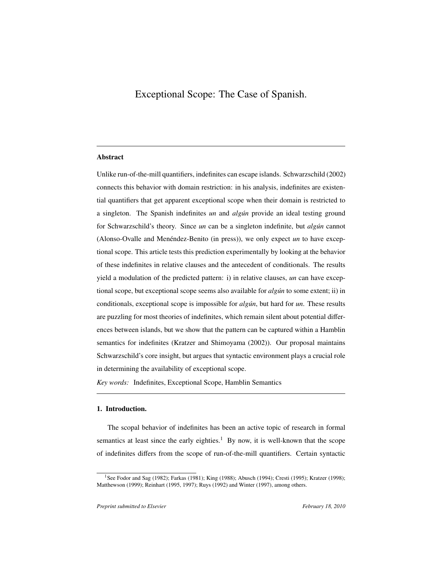# Exceptional Scope: The Case of Spanish.

# Abstract

Unlike run-of-the-mill quantifiers, indefinites can escape islands. Schwarzschild (2002) connects this behavior with domain restriction: in his analysis, indefinites are existential quantifiers that get apparent exceptional scope when their domain is restricted to a singleton. The Spanish indefinites *un* and *algún* provide an ideal testing ground for Schwarzschild's theory. Since *un* can be a singleton indefinite, but *algún* cannot (Alonso-Ovalle and Menéndez-Benito (in press)), we only expect *un* to have exceptional scope. This article tests this prediction experimentally by looking at the behavior of these indefinites in relative clauses and the antecedent of conditionals. The results yield a modulation of the predicted pattern: i) in relative clauses, *un* can have exceptional scope, but exceptional scope seems also available for *alg´un* to some extent; ii) in conditionals, exceptional scope is impossible for *algún*, but hard for *un*. These results are puzzling for most theories of indefinites, which remain silent about potential differences between islands, but we show that the pattern can be captured within a Hamblin semantics for indefinites (Kratzer and Shimoyama (2002)). Our proposal maintains Schwarzschild's core insight, but argues that syntactic environment plays a crucial role in determining the availability of exceptional scope.

*Key words:* Indefinites, Exceptional Scope, Hamblin Semantics

#### 1. Introduction.

The scopal behavior of indefinites has been an active topic of research in formal semantics at least since the early eighties.<sup>1</sup> By now, it is well-known that the scope of indefinites differs from the scope of run-of-the-mill quantifiers. Certain syntactic

<sup>&</sup>lt;sup>1</sup>See Fodor and Sag (1982); Farkas (1981); King (1988); Abusch (1994); Cresti (1995); Kratzer (1998); Matthewson (1999); Reinhart (1995, 1997); Ruys (1992) and Winter (1997), among others.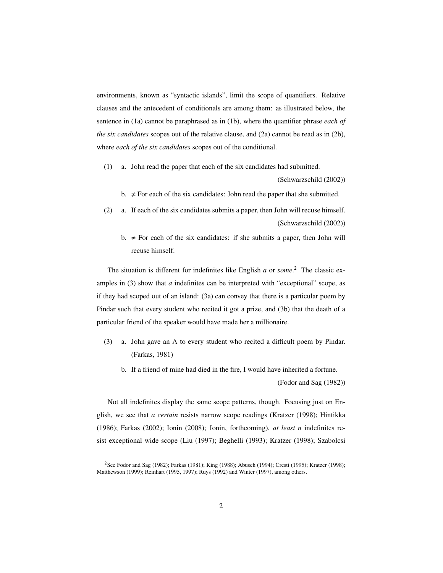environments, known as "syntactic islands", limit the scope of quantifiers. Relative clauses and the antecedent of conditionals are among them: as illustrated below, the sentence in (1a) cannot be paraphrased as in (1b), where the quantifier phrase *each of the six candidates* scopes out of the relative clause, and (2a) cannot be read as in (2b), where *each of the six candidates* scopes out of the conditional.

(1) a. John read the paper that each of the six candidates had submitted.

(Schwarzschild (2002))

- b.  $\neq$  For each of the six candidates: John read the paper that she submitted.
- (2) a. If each of the six candidates submits a paper, then John will recuse himself. (Schwarzschild (2002))
	- b.  $\neq$  For each of the six candidates: if she submits a paper, then John will recuse himself.

The situation is different for indefinites like English *a* or *some*. <sup>2</sup> The classic examples in (3) show that *a* indefinites can be interpreted with "exceptional" scope, as if they had scoped out of an island: (3a) can convey that there is a particular poem by Pindar such that every student who recited it got a prize, and (3b) that the death of a particular friend of the speaker would have made her a millionaire.

- (3) a. John gave an A to every student who recited a difficult poem by Pindar. (Farkas, 1981)
	- b. If a friend of mine had died in the fire, I would have inherited a fortune.

(Fodor and Sag (1982))

Not all indefinites display the same scope patterns, though. Focusing just on English, we see that *a certain* resists narrow scope readings (Kratzer (1998); Hintikka (1986); Farkas (2002); Ionin (2008); Ionin, forthcoming), *at least n* indefinites resist exceptional wide scope (Liu (1997); Beghelli (1993); Kratzer (1998); Szabolcsi

<sup>2</sup>See Fodor and Sag (1982); Farkas (1981); King (1988); Abusch (1994); Cresti (1995); Kratzer (1998); Matthewson (1999); Reinhart (1995, 1997); Ruys (1992) and Winter (1997), among others.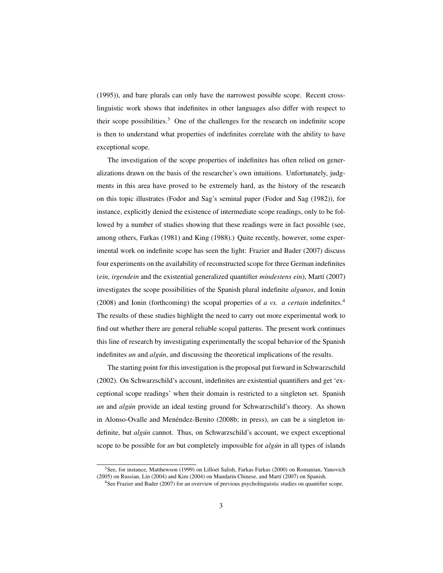(1995)), and bare plurals can only have the narrowest possible scope. Recent crosslinguistic work shows that indefinites in other languages also differ with respect to their scope possibilities.<sup>3</sup> One of the challenges for the research on indefinite scope is then to understand what properties of indefinites correlate with the ability to have exceptional scope.

The investigation of the scope properties of indefinites has often relied on generalizations drawn on the basis of the researcher's own intuitions. Unfortunately, judgments in this area have proved to be extremely hard, as the history of the research on this topic illustrates (Fodor and Sag's seminal paper (Fodor and Sag (1982)), for instance, explicitly denied the existence of intermediate scope readings, only to be followed by a number of studies showing that these readings were in fact possible (see, among others, Farkas (1981) and King (1988).) Quite recently, however, some experimental work on indefinite scope has seen the light: Frazier and Bader (2007) discuss four experiments on the availability of reconstructed scope for three German indefinites (*ein*, *irgendein* and the existential generalized quantifier *mindestens ein*), Martí (2007) investigates the scope possibilities of the Spanish plural indefinite *algunos*, and Ionin (2008) and Ionin (forthcoming) the scopal properties of *a vs. a certain* indefinites.<sup>4</sup> The results of these studies highlight the need to carry out more experimental work to find out whether there are general reliable scopal patterns. The present work continues this line of research by investigating experimentally the scopal behavior of the Spanish indefinites *un* and *algún*, and discussing the theoretical implications of the results.

The starting point for this investigation is the proposal put forward in Schwarzschild (2002). On Schwarzschild's account, indefinites are existential quantifiers and get 'exceptional scope readings' when their domain is restricted to a singleton set. Spanish *un* and *algún* provide an ideal testing ground for Schwarzschild's theory. As shown in Alonso-Ovalle and Menéndez-Benito (2008b; in press), un can be a singleton indefinite, but *algún* cannot. Thus, on Schwarzschild's account, we expect exceptional scope to be possible for *un* but completely impossible for *algún* in all types of islands

<sup>3</sup>See, for instance, Matthewson (1999) on Lilloet Salish, Farkas Farkas (2000) on Romanian, Yanovich (2005) on Russian, Lin (2004) and Kim (2004) on Mandarin Chinese, and Martí (2007) on Spanish.

<sup>4</sup>See Frazier and Bader (2007) for an overview of previous psycholinguistic studies on quantifier scope.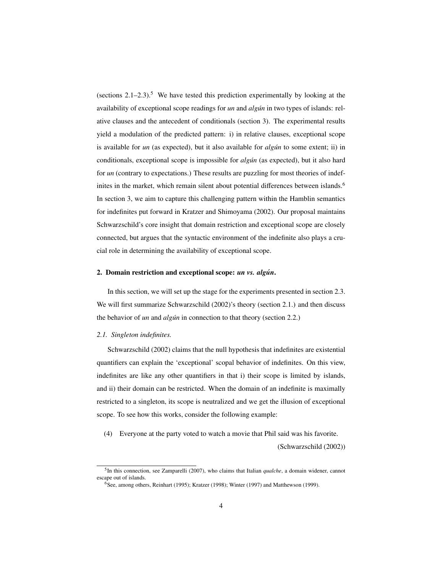(sections  $2.1-2.3$ ).<sup>5</sup> We have tested this prediction experimentally by looking at the availability of exceptional scope readings for *un* and *algún* in two types of islands: relative clauses and the antecedent of conditionals (section 3). The experimental results yield a modulation of the predicted pattern: i) in relative clauses, exceptional scope is available for *un* (as expected), but it also available for *algún* to some extent; ii) in conditionals, exceptional scope is impossible for *alg´un* (as expected), but it also hard for *un* (contrary to expectations.) These results are puzzling for most theories of indefinites in the market, which remain silent about potential differences between islands.<sup>6</sup> In section 3, we aim to capture this challenging pattern within the Hamblin semantics for indefinites put forward in Kratzer and Shimoyama (2002). Our proposal maintains Schwarzschild's core insight that domain restriction and exceptional scope are closely connected, but argues that the syntactic environment of the indefinite also plays a crucial role in determining the availability of exceptional scope.

#### 2. Domain restriction and exceptional scope: *un vs. algun´* .

In this section, we will set up the stage for the experiments presented in section 2.3. We will first summarize Schwarzschild (2002)'s theory (section 2.1.) and then discuss the behavior of *un* and *algún* in connection to that theory (section 2.2.)

#### *2.1. Singleton indefinites.*

Schwarzschild (2002) claims that the null hypothesis that indefinites are existential quantifiers can explain the 'exceptional' scopal behavior of indefinites. On this view, indefinites are like any other quantifiers in that i) their scope is limited by islands, and ii) their domain can be restricted. When the domain of an indefinite is maximally restricted to a singleton, its scope is neutralized and we get the illusion of exceptional scope. To see how this works, consider the following example:

(4) Everyone at the party voted to watch a movie that Phil said was his favorite.

(Schwarzschild (2002))

<sup>5</sup> In this connection, see Zamparelli (2007), who claims that Italian *qualche*, a domain widener, cannot escape out of islands.

 ${}^{6}$ See, among others, Reinhart (1995); Kratzer (1998); Winter (1997) and Matthewson (1999).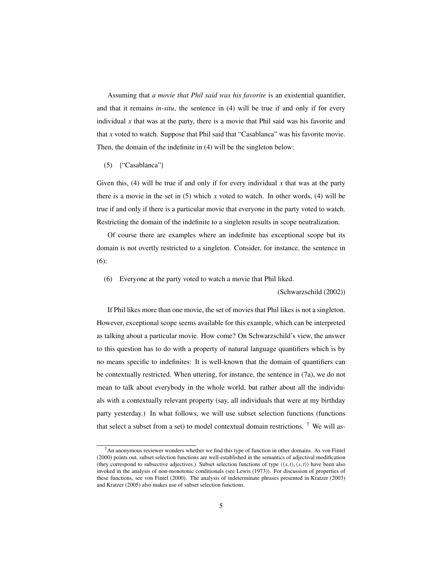Assuming that *a movie that Phil said was his favorite* is an existential quantifier, and that it remains *in-situ*, the sentence in (4) will be true if and only if for every individual  $x$  that was at the party, there is a movie that Phil said was his favorite and that *x* voted to watch. Suppose that Phil said that "Casablanca" was his favorite movie. Then, the domain of the indefinite in (4) will be the singleton below:

#### (5) {"Casablanca"}

Given this,  $(4)$  will be true if and only if for every individual x that was at the party there is a movie in the set in  $(5)$  which *x* voted to watch. In other words,  $(4)$  will be true if and only if there is a particular movie that everyone in the party voted to watch. Restricting the domain of the indefinite to a singleton results in scope neutralization.

Of course there are examples where an indefinite has exceptional scope but its domain is not overtly restricted to a singleton. Consider, for instance, the sentence in (6):

(6) Everyone at the party voted to watch a movie that Phil liked.

#### (Schwarzschild (2002))

If Phil likes more than one movie, the set of movies that Phil likes is not a singleton. However, exceptional scope seems available for this example, which can be interpreted as talking about a particular movie. How come? On Schwarzschild's view, the answer to this question has to do with a property of natural language quantifiers which is by no means specific to indefinites: It is well-known that the domain of quantifiers can be contextually restricted. When uttering, for instance, the sentence in (7a), we do not mean to talk about everybody in the whole world, but rather about all the individuals with a contextually relevant property (say, all individuals that were at my birthday party yesterday.) In what follows, we will use subset selection functions (functions that select a subset from a set) to model contextual domain restrictions.  $\frac{7}{1}$  We will as-

<sup>7</sup>An anonymous reviewer wonders whether we find this type of function in other domains. As von Fintel (2000) points out, subset selection functions are well-established in the semantics of adjectival modification (they correspond to subsective adjectives.) Subset selection functions of type  $\langle \langle s, t \rangle, \langle s, t \rangle \rangle$  have been also invoked in the analysis of non-monotonic conditionals (see Lewis (1973)). For discussion of properties of these functions, see von Fintel (2000). The analysis of indeterminate phrases presented in Kratzer (2003) and Kratzer (2005) also makes use of subset selection functions.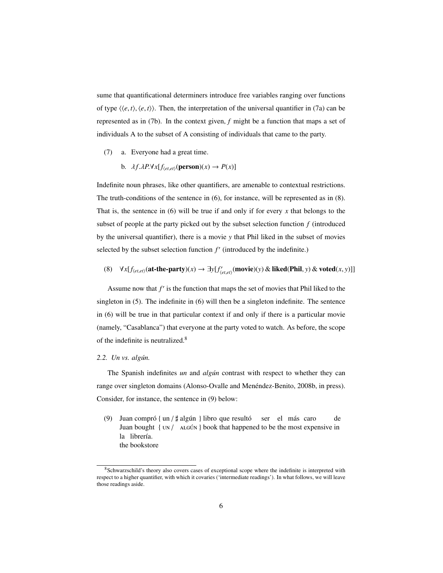sume that quantificational determiners introduce free variables ranging over functions of type  $\langle \langle e, t \rangle, \langle e, t \rangle$ . Then, the interpretation of the universal quantifier in (7a) can be represented as in (7b). In the context given, *f* might be a function that maps a set of individuals A to the subset of A consisting of individuals that came to the party.

- (7) a. Everyone had a great time.
	- b.  $\lambda f \cdot \lambda P \cdot \forall x [f_{\langle et,et \rangle}(\text{person})(x) \rightarrow P(x)]$

Indefinite noun phrases, like other quantifiers, are amenable to contextual restrictions. The truth-conditions of the sentence in (6), for instance, will be represented as in (8). That is, the sentence in  $(6)$  will be true if and only if for every x that belongs to the subset of people at the party picked out by the subset selection function *f* (introduced by the universal quantifier), there is a movie *y* that Phil liked in the subset of movies selected by the subset selection function  $f'$  (introduced by the indefinite.)

(8) ∀*x*[*f*<sub>(*et,et*)</sub>(**at-the-party**)(*x*) → ∃*y*[*f*<sub>(*et,et*)</sub>(**movie**)(*y*) & liked(Phil, *y*) & voted(*x*, *y*)]]

Assume now that  $f'$  is the function that maps the set of movies that Phil liked to the singleton in (5). The indefinite in (6) will then be a singleton indefinite. The sentence in (6) will be true in that particular context if and only if there is a particular movie (namely, "Casablanca") that everyone at the party voted to watch. As before, the scope of the indefinite is neutralized.<sup>8</sup>

# 2.2. *Un vs. algún.*

The Spanish indefinites *un* and *algún* contrast with respect to whether they can range over singleton domains (Alonso-Ovalle and Menéndez-Benito, 2008b, in press). Consider, for instance, the sentence in (9) below:

(9) Juan compró { un /  $\sharp$  algún } libro que resultó Juan bought { UN / ALGÚN } book that happened to be the most expensive in ser el más caro de la librería. the bookstore

<sup>8</sup>Schwarzschild's theory also covers cases of exceptional scope where the indefinite is interpreted with respect to a higher quantifier, with which it covaries ('intermediate readings'). In what follows, we will leave those readings aside.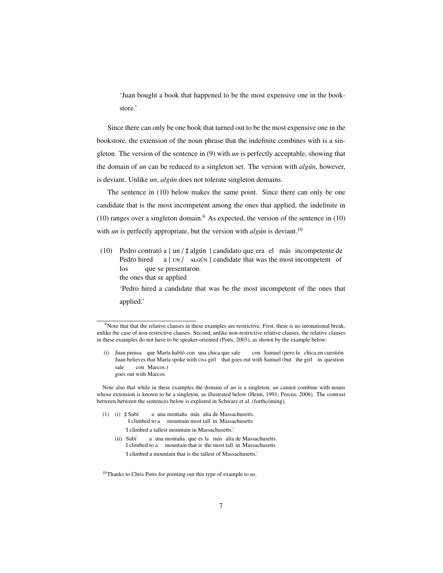'Juan bought a book that happened to be the most expensive one in the bookstore.'

Since there can only be one book that turned out to be the most expensive one in the bookstore, the extension of the noun phrase that the indefinite combines with is a singleton. The version of the sentence in (9) with *un* is perfectly acceptable, showing that the domain of *un* can be reduced to a singleton set. The version with *algún*, however, is deviant. Unlike *un*, *algún* does not tolerate singleton domains.

The sentence in (10) below makes the same point. Since there can only be one candidate that is the most incompetent among the ones that applied, the indefinite in  $(10)$  ranges over a singleton domain.<sup>9</sup> As expected, the version of the sentence in  $(10)$ with *un* is perfectly appropriate, but the version with *algún* is deviant.<sup>10</sup>

(10) Pedro contrató a { un /  $\sharp$  algún } candidato que era el más incompetente de<br>Pedro bired a { un / at gún } candidate that was the most incompetent of Pedro hired a { UN / ALGÚN } candidate that was the most incompetent of los the ones that se applied que se presentaron. 'Pedro hired a candidate that was be the most incompetent of the ones that applied.'

Note also that while in these examples the domain of *un* is a singleton, *un* cannot combine with nouns whose extension is known to be a singleton, as illustrated below (Heim, 1991; Percus, 2006). The contrast between between the sentences below is explored in Schwarz et al. (forthcoming).

- $(1)$  (i)  $\sharp$  Subí I climbed to a mountain most tall in Massachusetts a una montaña más alta de Massachusetts. 'I climbed a tallest mountain in Massachusetts.'
	- (ii) Subí I climbed to a mountain that is the most tall in Massachusetts a una montaña que es la más alta de Massachusetts. 'I climbed a mountain that is the tallest of Massachusetts.'

<sup>10</sup>Thanks to Chris Potts for pointing out this type of example to us.

<sup>&</sup>lt;sup>9</sup>Note that that the relative clauses in these examples are restrictive. First, there is no intonational break, unlike the case of non-restrictive clauses. Second, unlike non-restrictive relative clauses, the relative clauses in these examples do not have to be speaker-oriented (Potts, 2003), as shown by the example below:

<sup>(</sup>i) Juan piensa que María habló con una chica que sale Juan believes that María spoke with una girl that goes out with Samuel (but the girl in question con Samuel (pero la chica en cuestión sale goes out with Marcos con Marcos.)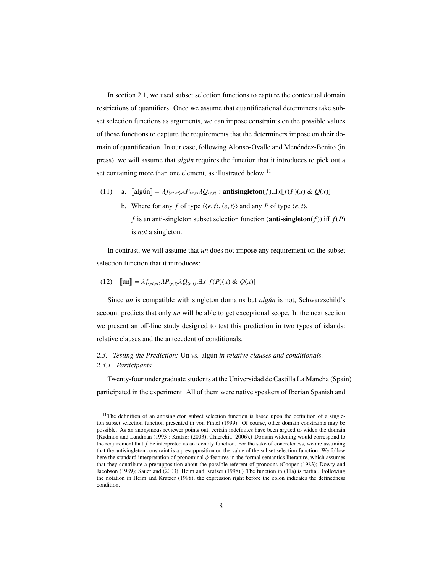In section 2.1, we used subset selection functions to capture the contextual domain restrictions of quantifiers. Once we assume that quantificational determiners take subset selection functions as arguments, we can impose constraints on the possible values of those functions to capture the requirements that the determiners impose on their domain of quantification. In our case, following Alonso-Ovalle and Menéndez-Benito (in press), we will assume that *alg´un* requires the function that it introduces to pick out a set containing more than one element, as illustrated below: $<sup>11</sup>$ </sup>

- (11) a.  $[\text{alg}\sin] = \lambda f_{\langle et,et\rangle}\lambda P_{\langle e,t\rangle}\lambda Q_{\langle e,t\rangle}$ : **antisingleton**(*f*). $\exists x[f(P)(x) \& Q(x)]$ 
	- b. Where for any *f* of type  $\langle \langle e, t \rangle, \langle e, t \rangle \rangle$  and any *P* of type  $\langle e, t \rangle$ , *f* is an anti-singleton subset selection function (**anti-singleton** $(f)$ ) iff  $f(P)$ is *not* a singleton.

In contrast, we will assume that *un* does not impose any requirement on the subset selection function that it introduces:

(12) 
$$
\llbracket \text{un} \rrbracket = \lambda f_{\langle et, et \rangle} \lambda P_{\langle e, t \rangle} \lambda Q_{\langle e, t \rangle} \exists x [f(P)(x) \& Q(x)]
$$

Since *un* is compatible with singleton domains but *algún* is not, Schwarzschild's account predicts that only *un* will be able to get exceptional scope. In the next section we present an off-line study designed to test this prediction in two types of islands: relative clauses and the antecedent of conditionals.

# 2.3. Testing the Prediction: Un *vs.* algun *in relative clauses and conditionals. 2.3.1. Participants.*

Twenty-four undergraduate students at the Universidad de Castilla La Mancha (Spain) participated in the experiment. All of them were native speakers of Iberian Spanish and

<sup>&</sup>lt;sup>11</sup>The definition of an antisingleton subset selection function is based upon the definition of a singleton subset selection function presented in von Fintel (1999). Of course, other domain constraints may be possible. As an anonymous reviewer points out, certain indefinites have been argued to widen the domain (Kadmon and Landman (1993); Kratzer (2003); Chierchia (2006).) Domain widening would correspond to the requirement that *f* be interpreted as an identity function. For the sake of concreteness, we are assuming that the antisingleton constraint is a presupposition on the value of the subset selection function. We follow here the standard interpretation of pronominal φ-features in the formal semantics literature, which assumes that they contribute a presupposition about the possible referent of pronouns (Cooper (1983); Dowty and Jacobson (1989); Sauerland (2003); Heim and Kratzer (1998).) The function in (11a) is partial. Following the notation in Heim and Kratzer (1998), the expression right before the colon indicates the definedness condition.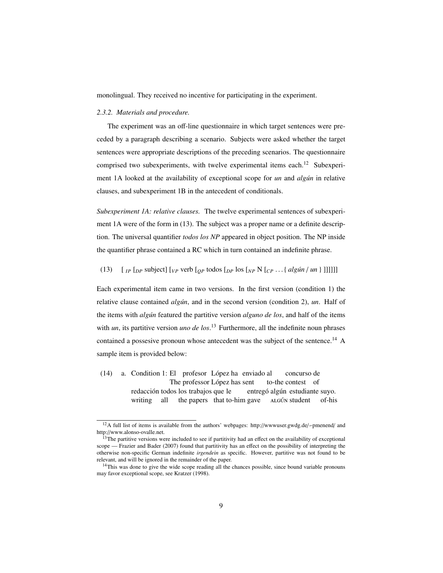monolingual. They received no incentive for participating in the experiment.

#### *2.3.2. Materials and procedure.*

The experiment was an off-line questionnaire in which target sentences were preceded by a paragraph describing a scenario. Subjects were asked whether the target sentences were appropriate descriptions of the preceding scenarios. The questionnaire comprised two subexperiments, with twelve experimental items each.<sup>12</sup> Subexperiment 1A looked at the availability of exceptional scope for *un* and *algún* in relative clauses, and subexperiment 1B in the antecedent of conditionals.

*Subexperiment 1A: relative clauses.* The twelve experimental sentences of subexperiment 1A were of the form in (13). The subject was a proper name or a definite description. The universal quantifier *todos los NP* appeared in object position. The NP inside the quantifier phrase contained a RC which in turn contained an indefinite phrase.

(13)  $\left[ \iint_{IP} \left[ \int_{DP} \text{subject} \right] \left[ \iint_{VP} \text{verb} \left[ \int_{OP} \text{tools} \left[ \int_{PP} \text{Ns} \left[ \iint_{CP} \ldots \left\{ \text{align} \cdot \text{uniform} \right\} \right] \right] \right] \right] \right]$ 

Each experimental item came in two versions. In the first version (condition 1) the relative clause contained *algún*, and in the second version (condition 2), *un*. Half of the items with *alg´un* featured the partitive version *alguno de los*, and half of the items with *un*, its partitive version *uno de los*.<sup>13</sup> Furthermore, all the indefinite noun phrases contained a possesive pronoun whose antecedent was the subject of the sentence.<sup>14</sup> A sample item is provided below:

(14) a. Condition 1: El profesor López ha enviado al The professor López has sent to-the contest of concurso de redacción todos los trabajos que le writing all the papers that to-him gave entregó algún estudiante suyo. ALGÚN student of-his

<sup>&</sup>lt;sup>12</sup>A full list of items is available from the authors' webpages: http://wwwuser.gwdg.de/ $\sim$ pmenend/ and http://www.alonso-ovalle.net.

<sup>&</sup>lt;sup>13</sup>The partitive versions were included to see if partitivity had an effect on the availability of exceptional scope — Frazier and Bader (2007) found that partitivity has an effect on the possibility of interpreting the otherwise non-specific German indefinite *irgendein* as specific. However, partitive was not found to be relevant, and will be ignored in the remainder of the paper.

<sup>&</sup>lt;sup>14</sup>This was done to give the wide scope reading all the chances possible, since bound variable pronouns may favor exceptional scope, see Kratzer (1998).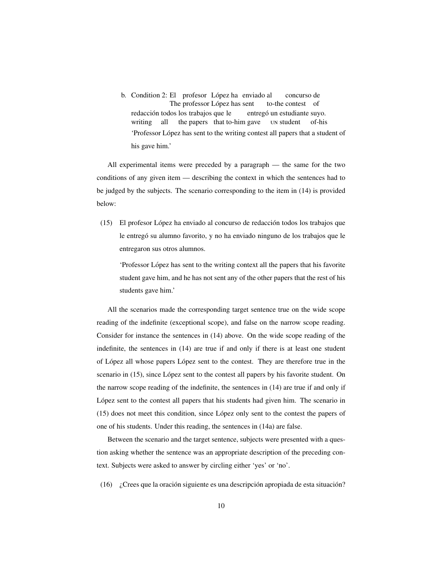b. Condition 2: El profesor López ha enviado al The professor López has sent to-the contest of concurso de redacción todos los trabajos que le writing all the papers that to-him gave entregó un estudiante suyo. un student of-his 'Professor López has sent to the writing contest all papers that a student of his gave him.'

All experimental items were preceded by a paragraph — the same for the two conditions of any given item — describing the context in which the sentences had to be judged by the subjects. The scenario corresponding to the item in (14) is provided below:

 $(15)$  El profesor López ha enviado al concurso de redacción todos los trabajos que le entregó su alumno favorito, y no ha enviado ninguno de los trabajos que le entregaron sus otros alumnos.

'Professor López has sent to the writing context all the papers that his favorite student gave him, and he has not sent any of the other papers that the rest of his students gave him.'

All the scenarios made the corresponding target sentence true on the wide scope reading of the indefinite (exceptional scope), and false on the narrow scope reading. Consider for instance the sentences in (14) above. On the wide scope reading of the indefinite, the sentences in (14) are true if and only if there is at least one student of López all whose papers López sent to the contest. They are therefore true in the scenario in (15), since López sent to the contest all papers by his favorite student. On the narrow scope reading of the indefinite, the sentences in (14) are true if and only if López sent to the contest all papers that his students had given him. The scenario in  $(15)$  does not meet this condition, since López only sent to the contest the papers of one of his students. Under this reading, the sentences in (14a) are false.

Between the scenario and the target sentence, subjects were presented with a question asking whether the sentence was an appropriate description of the preceding context. Subjects were asked to answer by circling either 'yes' or 'no'.

(16)  $\chi$  Crees que la oración siguiente es una descripción apropiada de esta situación?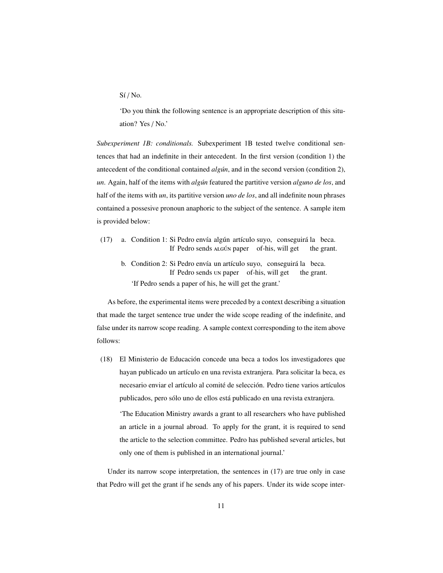$Si/No.$ 

'Do you think the following sentence is an appropriate description of this situation? Yes / No.'

*Subexperiment 1B: conditionals.* Subexperiment 1B tested twelve conditional sentences that had an indefinite in their antecedent. In the first version (condition 1) the antecedent of the conditional contained *algún*, and in the second version (condition 2), *un*. Again, half of the items with *alg´un* featured the partitive version *alguno de los*, and half of the items with *un*, its partitive version *uno de los*, and all indefinite noun phrases contained a possesive pronoun anaphoric to the subject of the sentence. A sample item is provided below:

- (17) a. Condition 1: Si Pedro envía algún artículo suyo, conseguirá la beca. If Pedro sends ALGÚN paper of-his, will get the grant.
	- b. Condition 2: Si Pedro envía un artículo suyo, conseguirá la beca. If Pedro sends un paper of-his, will get the grant. 'If Pedro sends a paper of his, he will get the grant.'

As before, the experimental items were preceded by a context describing a situation that made the target sentence true under the wide scope reading of the indefinite, and false under its narrow scope reading. A sample context corresponding to the item above follows:

(18) El Ministerio de Educacion concede una beca a todos los investigadores que ´ hayan publicado un artículo en una revista extranjera. Para solicitar la beca, es necesario enviar el artículo al comité de selección. Pedro tiene varios artículos publicados, pero sólo uno de ellos está publicado en una revista extranjera.

'The Education Ministry awards a grant to all researchers who have published an article in a journal abroad. To apply for the grant, it is required to send the article to the selection committee. Pedro has published several articles, but only one of them is published in an international journal.'

Under its narrow scope interpretation, the sentences in (17) are true only in case that Pedro will get the grant if he sends any of his papers. Under its wide scope inter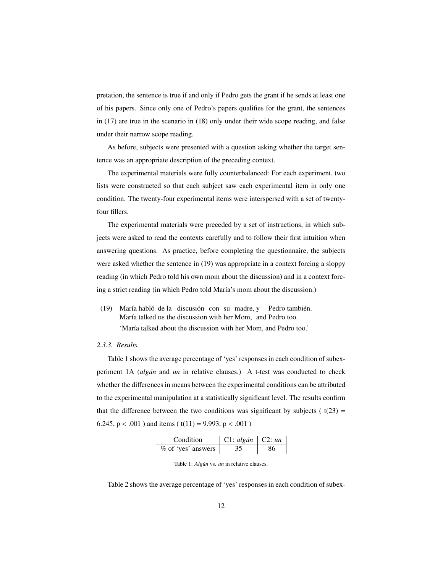pretation, the sentence is true if and only if Pedro gets the grant if he sends at least one of his papers. Since only one of Pedro's papers qualifies for the grant, the sentences in (17) are true in the scenario in (18) only under their wide scope reading, and false under their narrow scope reading.

As before, subjects were presented with a question asking whether the target sentence was an appropriate description of the preceding context.

The experimental materials were fully counterbalanced: For each experiment, two lists were constructed so that each subject saw each experimental item in only one condition. The twenty-four experimental items were interspersed with a set of twentyfour fillers.

The experimental materials were preceded by a set of instructions, in which subjects were asked to read the contexts carefully and to follow their first intuition when answering questions. As practice, before completing the questionnaire, the subjects were asked whether the sentence in (19) was appropriate in a context forcing a sloppy reading (in which Pedro told his own mom about the discussion) and in a context forcing a strict reading (in which Pedro told María's mom about the discussion.)

(19) María habló de la discusión con su madre, y Pedro también. María talked be the discussion with her Mom, and Pedro too. 'María talked about the discussion with her Mom, and Pedro too.'

#### *2.3.3. Results.*

Table 1 shows the average percentage of 'yes' responses in each condition of subexperiment 1A (*algún* and *un* in relative clauses.) A t-test was conducted to check whether the differences in means between the experimental conditions can be attributed to the experimental manipulation at a statistically significant level. The results confirm that the difference between the two conditions was significant by subjects ( $t(23)$ ) = 6.245,  $p < .001$ ) and items ( $t(11) = 9.993$ ,  $p < .001$ )

| Condition                | $\vert$ C1: algún $\vert$ C2: un |    |  |
|--------------------------|----------------------------------|----|--|
| $%$ of 'yes' answers $ $ | 35                               | 86 |  |

Table 1: *Algún* vs. *un* in relative clauses.

Table 2 shows the average percentage of 'yes' responses in each condition of subex-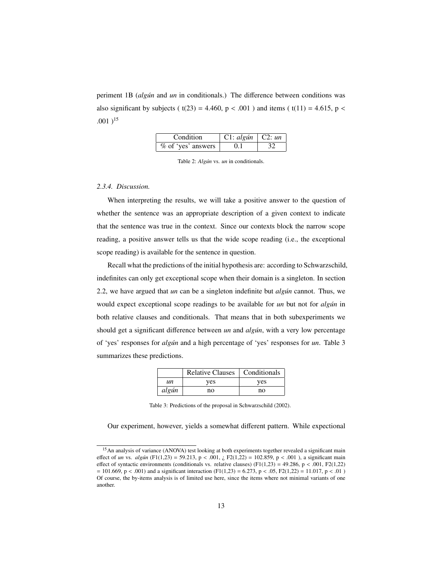periment 1B (*algún* and *un* in conditionals.) The difference between conditions was also significant by subjects ( $t(23) = 4.460$ ,  $p < .001$ ) and items ( $t(11) = 4.615$ ,  $p <$  $.001$ <sup>15</sup>

| Condition                | C1: algún   C2: un |  |
|--------------------------|--------------------|--|
| $%$ of 'yes' answers $ $ | 0.1                |  |

Table 2: *Algún* vs. *un* in conditionals.

# *2.3.4. Discussion.*

When interpreting the results, we will take a positive answer to the question of whether the sentence was an appropriate description of a given context to indicate that the sentence was true in the context. Since our contexts block the narrow scope reading, a positive answer tells us that the wide scope reading (i.e., the exceptional scope reading) is available for the sentence in question.

Recall what the predictions of the initial hypothesis are: according to Schwarzschild, indefinites can only get exceptional scope when their domain is a singleton. In section 2.2, we have argued that *un* can be a singleton indefinite but *alg´un* cannot. Thus, we would expect exceptional scope readings to be available for *un* but not for *alg´un* in both relative clauses and conditionals. That means that in both subexperiments we should get a significant difference between *un* and *algún*, with a very low percentage of 'yes' responses for *alg´un* and a high percentage of 'yes' responses for *un*. Table 3 summarizes these predictions.

|       | <b>Relative Clauses</b> | Conditionals |  |
|-------|-------------------------|--------------|--|
| иn    | yes                     | yes          |  |
| algún | no                      | no           |  |

| Table 3: Predictions of the proposal in Schwarzschild (2002). |  |  |
|---------------------------------------------------------------|--|--|
|---------------------------------------------------------------|--|--|

Our experiment, however, yields a somewhat different pattern. While expectional

<sup>&</sup>lt;sup>15</sup>An analysis of variance (ANOVA) test looking at both experiments together revealed a significant main effect of *un* vs. *algún* (F1(1,23) = 59.213, p < .001,  $\zeta$  F2(1,22) = 102.859, p < .001), a significant main effect of syntactic environments (conditionals vs. relative clauses)  $(F1(1,23) = 49.286, p < .001, F2(1,22)$  $= 101.669$ , p < .001) and a significant interaction (F1(1,23) = 6.273, p < .05, F2(1,22) = 11.017, p < .01) Of course, the by-items analysis is of limited use here, since the items where not minimal variants of one another.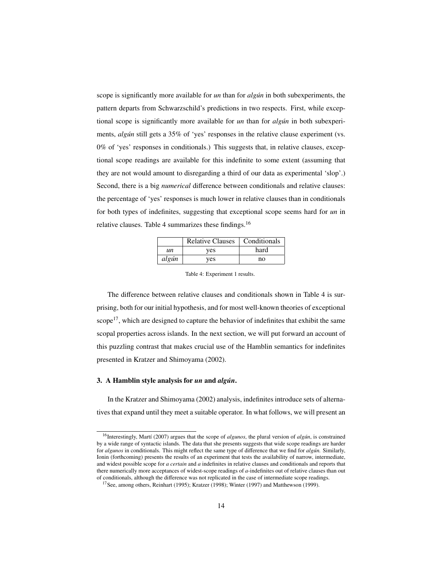scope is significantly more available for *un* than for *algún* in both subexperiments, the pattern departs from Schwarzschild's predictions in two respects. First, while exceptional scope is significantly more available for *un* than for *algún* in both subexperiments, *algún* still gets a 35% of 'yes' responses in the relative clause experiment (vs. 0% of 'yes' responses in conditionals.) This suggests that, in relative clauses, exceptional scope readings are available for this indefinite to some extent (assuming that they are not would amount to disregarding a third of our data as experimental 'slop'.) Second, there is a big *numerical* difference between conditionals and relative clauses: the percentage of 'yes' responses is much lower in relative clauses than in conditionals for both types of indefinites, suggesting that exceptional scope seems hard for *un* in relative clauses. Table 4 summarizes these findings.<sup>16</sup>

|       | Relative Clauses   Conditionals |      |
|-------|---------------------------------|------|
| un    | yes                             | hard |
| algún | yes                             | no   |

Table 4: Experiment 1 results.

The difference between relative clauses and conditionals shown in Table 4 is surprising, both for our initial hypothesis, and for most well-known theories of exceptional scope<sup>17</sup>, which are designed to capture the behavior of indefinites that exhibit the same scopal properties across islands. In the next section, we will put forward an account of this puzzling contrast that makes crucial use of the Hamblin semantics for indefinites presented in Kratzer and Shimoyama (2002).

## 3. A Hamblin style analysis for *un* and *algun´* .

In the Kratzer and Shimoyama (2002) analysis, indefinites introduce sets of alternatives that expand until they meet a suitable operator. In what follows, we will present an

<sup>&</sup>lt;sup>16</sup>Interestingly, Martí (2007) argues that the scope of *algunos*, the plural version of *algún*, is constrained by a wide range of syntactic islands. The data that she presents suggests that wide scope readings are harder for *algunos* in conditionals. This might reflect the same type of difference that we find for *algun*. Similarly, Ionin (forthcoming) presents the results of an experiment that tests the availability of narrow, intermediate, and widest possible scope for *a certain* and *a* indefinites in relative clauses and conditionals and reports that there numerically more acceptances of widest-scope readings of *a*-indefinites out of relative clauses than out of conditionals, although the difference was not replicated in the case of intermediate scope readings.

<sup>&</sup>lt;sup>17</sup>See, among others, Reinhart (1995); Kratzer (1998); Winter (1997) and Matthewson (1999).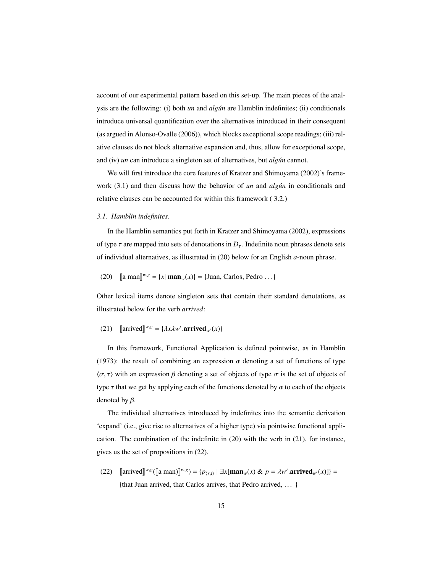account of our experimental pattern based on this set-up. The main pieces of the analysis are the following: (i) both *un* and *algun* are Hamblin indefinites; (ii) conditionals introduce universal quantification over the alternatives introduced in their consequent (as argued in Alonso-Ovalle (2006)), which blocks exceptional scope readings; (iii) relative clauses do not block alternative expansion and, thus, allow for exceptional scope, and (iv) *un* can introduce a singleton set of alternatives, but *algún* cannot.

We will first introduce the core features of Kratzer and Shimoyama (2002)'s framework (3.1) and then discuss how the behavior of *un* and *algún* in conditionals and relative clauses can be accounted for within this framework ( 3.2.)

## *3.1. Hamblin indefinites.*

In the Hamblin semantics put forth in Kratzer and Shimoyama (2002), expressions of type  $\tau$  are mapped into sets of denotations in  $D_{\tau}$ . Indefinite noun phrases denote sets of individual alternatives, as illustrated in (20) below for an English *a*-noun phrase.

(20) 
$$
\llbracket \text{a man} \rrbracket^{w,g} = \{x \mid \text{man}_w(x)\} = \{\text{Juan, Carlos, Pedro} \dots\}
$$

Other lexical items denote singleton sets that contain their standard denotations, as illustrated below for the verb *arrived*:

(21) [arrived]<sup>*w*,*g*</sup> = {
$$
\lambda x \lambda w'
$$
**.arrived**<sub>*w'*</sub>(*x*)}

In this framework, Functional Application is defined pointwise, as in Hamblin (1973): the result of combining an expression  $\alpha$  denoting a set of functions of type  $\langle \sigma, \tau \rangle$  with an expression  $\beta$  denoting a set of objects of type  $\sigma$  is the set of objects of type  $\tau$  that we get by applying each of the functions denoted by  $\alpha$  to each of the objects denoted by  $\beta$ .

The individual alternatives introduced by indefinites into the semantic derivation 'expand' (i.e., give rise to alternatives of a higher type) via pointwise functional application. The combination of the indefinite in (20) with the verb in (21), for instance, gives us the set of propositions in (22).

 $(22)$  [arrived]<sup>*w*,*g*</sup>([a man)]<sup>*w*,*g*</sup>) = { $p_{\langle s,t\rangle}$  |  $\exists x$ [**man**<sub>*w*</sub>(*x*) &  $p = \lambda w'$ .**arrived**<sub>*w*</sub> $(x)$ ]} = {that Juan arrived, that Carlos arrives, that Pedro arrived, . . . }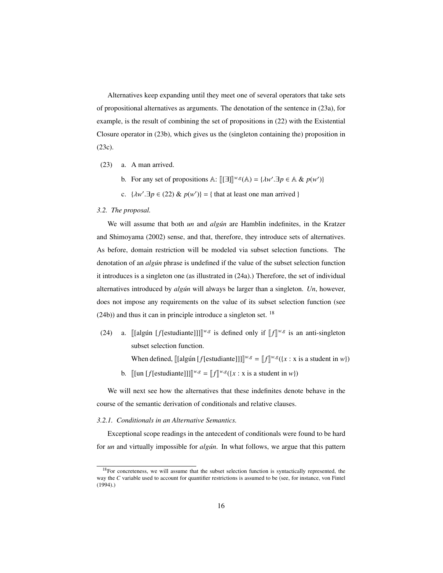Alternatives keep expanding until they meet one of several operators that take sets of propositional alternatives as arguments. The denotation of the sentence in (23a), for example, is the result of combining the set of propositions in (22) with the Existential Closure operator in (23b), which gives us the (singleton containing the) proposition in (23c).

- (23) a. A man arrived.
	- b. For any set of propositions A:  $[[\exists]]^{w,g}(\mathbb{A}) = \{ \lambda w'. \exists p \in \mathbb{A} \& p(w') \}$
	- c.  $\{\lambda w'.\exists p \in (22) \& p(w')\} = \{\text{ that at least one man arrived }\}$

## *3.2. The proposal.*

We will assume that both *un* and *alg´un* are Hamblin indefinites, in the Kratzer and Shimoyama (2002) sense, and that, therefore, they introduce sets of alternatives. As before, domain restriction will be modeled via subset selection functions. The denotation of an *algún* phrase is undefined if the value of the subset selection function it introduces is a singleton one (as illustrated in (24a).) Therefore, the set of individual alternatives introduced by *alg´un* will always be larger than a singleton. *Un*, however, does not impose any requirements on the value of its subset selection function (see  $(24b)$ ) and thus it can in principle introduce a singleton set. <sup>18</sup>

(24) a. [[algun [f[estudiante]]]]<sup>*w,g*</sup> is defined only if  $[f]^{w,g}$  is an anti-singleton subset selection function.

When defined,  $[[$ [algún [*f*[estudiante]]] $]^{w,g} = [[f]^{w,g}({x : x is a student in w})$ b.  $[[\text{un }[f[\text{estudiante}]]]]^{w,g} = [[f]]^{w,g}(\{x : x \text{ is a student in } w\})$ 

We will next see how the alternatives that these indefinites denote behave in the course of the semantic derivation of conditionals and relative clauses.

#### *3.2.1. Conditionals in an Alternative Semantics.*

Exceptional scope readings in the antecedent of conditionals were found to be hard for *un* and virtually impossible for *algún*. In what follows, we argue that this pattern

<sup>&</sup>lt;sup>18</sup>For concreteness, we will assume that the subset selection function is syntactically represented, the way the *C* variable used to account for quantifier restrictions is assumed to be (see, for instance, von Fintel (1994).)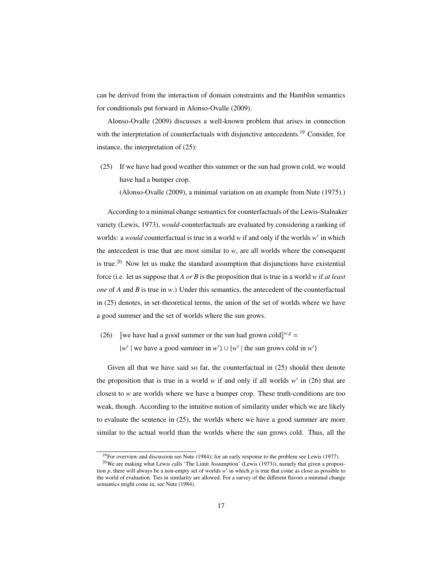can be derived from the interaction of domain constraints and the Hamblin semantics for conditionals put forward in Alonso-Ovalle (2009).

Alonso-Ovalle (2009) discusses a well-known problem that arises in connection with the interpretation of counterfactuals with disjunctive antecedents.<sup>19</sup> Consider, for instance, the interpretation of (25):

(25) If we have had good weather this summer or the sun had grown cold, we would have had a bumper crop.

(Alonso-Ovalle (2009), a minimal variation on an example from Nute (1975).)

According to a minimal change semantics for counterfactuals of the Lewis-Stalnaker variety (Lewis, 1973), *would*-counterfactuals are evaluated by considering a ranking of worlds: a *would* counterfactual is true in a world w if and only if the worlds w' in which the antecedent is true that are most similar to  $w$ , are all worlds where the consequent is true.<sup>20</sup> Now let us make the standard assumption that disjunctions have existential force (i.e. let us suppose that *A or B* is the proposition that is true in a world *w* if *at least one* of *A* and *B* is true in *w*.) Under this semantics, the antecedent of the counterfactual in (25) denotes, in set-theoretical terms, the union of the set of worlds where we have a good summer and the set of worlds where the sun grows.

(26) [we have had a good summer or the sun had grown cold]<sup>*w*,*g*</sup> =

 $\{w' \mid$  we have a good summer in  $w'$   $\} \cup \{w' \mid$  the sun grows cold in  $w'$ 

Given all that we have said so far, the counterfactual in (25) should then denote the proposition that is true in a world  $w$  if and only if all worlds  $w'$  in (26) that are closest to *w* are worlds where we have a bumper crop. These truth-conditions are too weak, though. According to the intuitive notion of similarity under which we are likely to evaluate the sentence in (25), the worlds where we have a good summer are more similar to the actual world than the worlds where the sun grows cold. Thus, all the

 $19$ For overview and discussion see Nute (1984); for an early response to the problem see Lewis (1977).

<sup>&</sup>lt;sup>20</sup>We are making what Lewis calls 'The Limit Assumption' (Lewis (1973)), namely that given a proposition  $p$ , there will always be a non-empty set of worlds  $w'$  in which  $p$  is true that come as close as possible to the world of evaluation. Ties in similarity are allowed. For a survey of the different flavors a minimal change semantics might come in, see Nute (1984).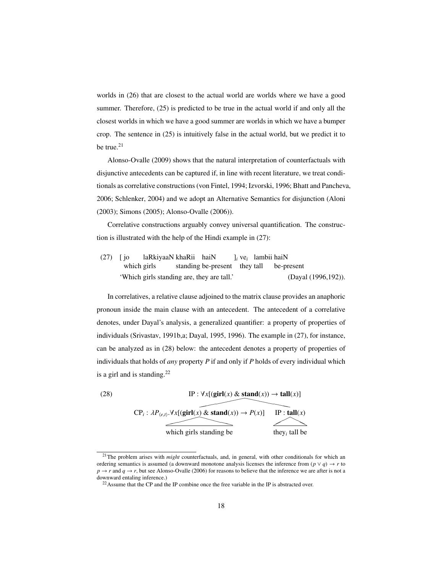worlds in (26) that are closest to the actual world are worlds where we have a good summer. Therefore,  $(25)$  is predicted to be true in the actual world if and only all the closest worlds in which we have a good summer are worlds in which we have a bumper crop. The sentence in (25) is intuitively false in the actual world, but we predict it to be true. $21$ 

Alonso-Ovalle (2009) shows that the natural interpretation of counterfactuals with disjunctive antecedents can be captured if, in line with recent literature, we treat conditionals as correlative constructions (von Fintel, 1994; Izvorski, 1996; Bhatt and Pancheva, 2006; Schlenker, 2004) and we adopt an Alternative Semantics for disjunction (Aloni (2003); Simons (2005); Alonso-Ovalle (2006)).

Correlative constructions arguably convey universal quantification. The construction is illustrated with the help of the Hindi example in (27):

(27) [ jo which girls laRkiyaaN khaRii haiN standing be-present they tall ]*<sup>i</sup>* ve*<sup>i</sup>* lambii haiN be-present 'Which girls standing are, they are tall.' (Dayal (1996,192)).

In correlatives, a relative clause adjoined to the matrix clause provides an anaphoric pronoun inside the main clause with an antecedent. The antecedent of a correlative denotes, under Dayal's analysis, a generalized quantifier: a property of properties of individuals (Srivastav, 1991b,a; Dayal, 1995, 1996). The example in (27), for instance, can be analyzed as in (28) below: the antecedent denotes a property of properties of individuals that holds of *any* property *P* if and only if *P* holds of every individual which is a girl and is standing. $^{22}$ 



<sup>21</sup>The problem arises with *might* counterfactuals, and, in general, with other conditionals for which an ordering semantics is assumed (a downward monotone analysis licenses the inference from  $(p \lor q) \to r$  to  $p \rightarrow r$  and  $q \rightarrow r$ , but see Alonso-Ovalle (2006) for reasons to believe that the inference we are after is not a downward entaling inference.)

<sup>&</sup>lt;sup>22</sup>Assume that the CP and the IP combine once the free variable in the IP is abstracted over.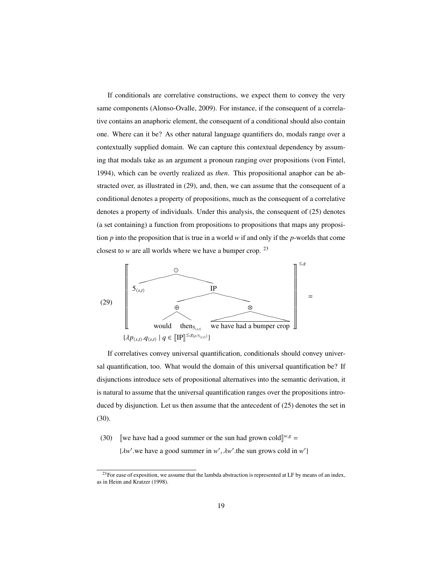If conditionals are correlative constructions, we expect them to convey the very same components (Alonso-Ovalle, 2009). For instance, if the consequent of a correlative contains an anaphoric element, the consequent of a conditional should also contain one. Where can it be? As other natural language quantifiers do, modals range over a contextually supplied domain. We can capture this contextual dependency by assuming that modals take as an argument a pronoun ranging over propositions (von Fintel, 1994), which can be overtly realized as *then*. This propositional anaphor can be abstracted over, as illustrated in (29), and, then, we can assume that the consequent of a conditional denotes a property of propositions, much as the consequent of a correlative denotes a property of individuals. Under this analysis, the consequent of (25) denotes (a set containing) a function from propositions to propositions that maps any proposition *p* into the proposition that is true in a world *w* if and only if the *p*-worlds that come closest to *w* are all worlds where we have a bumper crop. <sup>23</sup>



If correlatives convey universal quantification, conditionals should convey universal quantification, too. What would the domain of this universal quantification be? If disjunctions introduce sets of propositional alternatives into the semantic derivation, it is natural to assume that the universal quantification ranges over the propositions introduced by disjunction. Let us then assume that the antecedent of (25) denotes the set in (30).

(30) [we have had a good summer or the sun had grown cold]<sup>*w*,*g*</sup> =

 $\{ \lambda w'$  we have a good summer in *w'*,  $\lambda w'$  the sun grows cold in *w'*}

 $^{23}$ For ease of exposition, we assume that the lambda abstraction is represented at LF by means of an index, as in Heim and Kratzer (1998).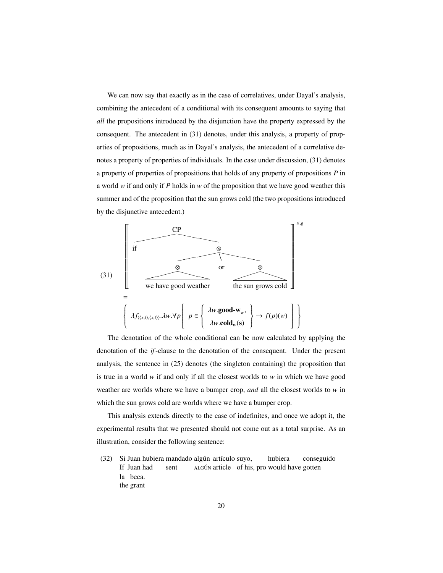We can now say that exactly as in the case of correlatives, under Dayal's analysis, combining the antecedent of a conditional with its consequent amounts to saying that *all* the propositions introduced by the disjunction have the property expressed by the consequent. The antecedent in (31) denotes, under this analysis, a property of properties of propositions, much as in Dayal's analysis, the antecedent of a correlative denotes a property of properties of individuals. In the case under discussion, (31) denotes a property of properties of propositions that holds of any property of propositions *P* in a world *w* if and only if *P* holds in *w* of the proposition that we have good weather this summer and of the proposition that the sun grows cold (the two propositions introduced by the disjunctive antecedent.)



The denotation of the whole conditional can be now calculated by applying the denotation of the *if*-clause to the denotation of the consequent. Under the present analysis, the sentence in (25) denotes (the singleton containing) the proposition that is true in a world *w* if and only if all the closest worlds to *w* in which we have good weather are worlds where we have a bumper crop, *and* all the closest worlds to *w* in which the sun grows cold are worlds where we have a bumper crop.

This analysis extends directly to the case of indefinites, and once we adopt it, the experimental results that we presented should not come out as a total surprise. As an illustration, consider the following sentence:

 $(32)$ If Juan had Juan hubiera mandado algún artículo suyo, sent ALGÚN article of his, pro would have gotten hubiera conseguido la beca. the grant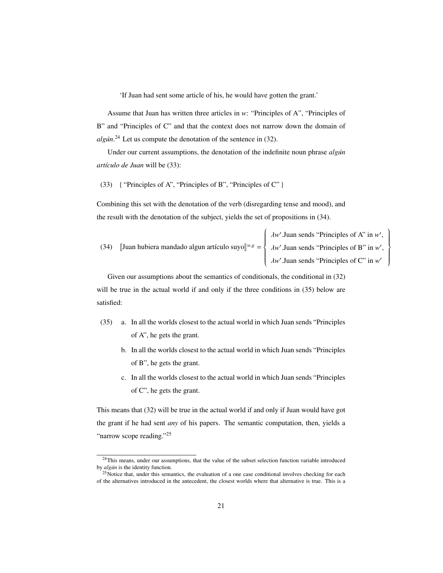'If Juan had sent some article of his, he would have gotten the grant.'

Assume that Juan has written three articles in *w*: "Principles of A", "Principles of B" and "Principles of C" and that the context does not narrow down the domain of algún.<sup>24</sup> Let us compute the denotation of the sentence in (32).

Under our current assumptions, the denotation of the indefinite noun phrase *algún artículo de Juan* will be (33):

(33) { "Principles of A", "Principles of B", "Principles of C" }

Combining this set with the denotation of the verb (disregarding tense and mood), and the result with the denotation of the subject, yields the set of propositions in (34).

(34) [Juan hubiera mandado algun artículo suyo]<sup>*w*,*g*</sup> =  $\int$  $\begin{array}{c} \hline \end{array}$  $\lambda$ *w*'. Juan sends "Principles of A" in *w*' ,  $\lambda w'$ .Juan sends "Principles of B" in  $w'$ ,  $\lambda w'$ .Juan sends "Principles of C" in  $w'$ 

 $\begin{array}{c} \hline \end{array}$ 

 $\begin{array}{c} \hline \end{array}$ 

Given our assumptions about the semantics of conditionals, the conditional in (32) will be true in the actual world if and only if the three conditions in  $(35)$  below are satisfied:

- (35) a. In all the worlds closest to the actual world in which Juan sends "Principles of A", he gets the grant.
	- b. In all the worlds closest to the actual world in which Juan sends "Principles of B", he gets the grant.
	- c. In all the worlds closest to the actual world in which Juan sends "Principles of C", he gets the grant.

This means that (32) will be true in the actual world if and only if Juan would have got the grant if he had sent *any* of his papers. The semantic computation, then, yields a "narrow scope reading."<sup>25</sup>

<sup>&</sup>lt;sup>24</sup>This means, under our assumptions, that the value of the subset selection function variable introduced by *algún* is the identity function.

<sup>&</sup>lt;sup>25</sup>Notice that, under this semantics, the evaluation of a one case conditional involves checking for each of the alternatives introduced in the antecedent, the closest worlds where that alternative is true. This is a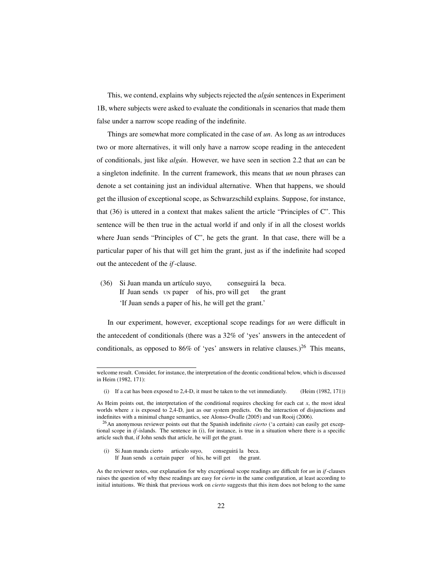This, we contend, explains why subjects rejected the *algún* sentences in Experiment 1B, where subjects were asked to evaluate the conditionals in scenarios that made them false under a narrow scope reading of the indefinite.

Things are somewhat more complicated in the case of *un*. As long as *un* introduces two or more alternatives, it will only have a narrow scope reading in the antecedent of conditionals, just like *alg´un*. However, we have seen in section 2.2 that *un* can be a singleton indefinite. In the current framework, this means that *un* noun phrases can denote a set containing just an individual alternative. When that happens, we should get the illusion of exceptional scope, as Schwarzschild explains. Suppose, for instance, that (36) is uttered in a context that makes salient the article "Principles of C". This sentence will be then true in the actual world if and only if in all the closest worlds where Juan sends "Principles of C", he gets the grant. In that case, there will be a particular paper of his that will get him the grant, just as if the indefinite had scoped out the antecedent of the *if*-clause.

 $(36)$ If Juan sends UN paper of his, pro will get Juan manda un artículo suyo, conseguirá la beca. the grant 'If Juan sends a paper of his, he will get the grant.'

In our experiment, however, exceptional scope readings for *un* were difficult in the antecedent of conditionals (there was a 32% of 'yes' answers in the antecedent of conditionals, as opposed to 86% of 'yes' answers in relative clauses.)<sup>26</sup> This means,

(i) Si Juan manda cierto articulo suyo, If Juan sends a certain paper of his, he will get the grant. conseguirá la beca.

welcome result. Consider, for instance, the interpretation of the deontic conditional below, which is discussed in Heim (1982, 171):

<sup>(</sup>i) If a cat has been exposed to 2,4-D, it must be taken to the vet immediately. (Heim (1982, 171))

As Heim points out, the interpretation of the conditional requires checking for each cat *x*, the most ideal worlds where *x* is exposed to 2,4-D, just as our system predicts. On the interaction of disjunctions and indefinites with a minimal change semantics, see Alonso-Ovalle (2005) and van Rooij (2006).

<sup>26</sup>An anonymous reviewer points out that the Spanish indefinite *cierto* ('a certain) can easily get exceptional scope in *if*-islands. The sentence in (i), for instance, is true in a situation where there is a specific article such that, if John sends that article, he will get the grant.

As the reviewer notes, our explanation for why exceptional scope readings are difficult for *un* in *if*-clauses raises the question of why these readings are easy for *cierto* in the same configuration, at least according to initial intuitions. We think that previous work on *cierto* suggests that this item does not belong to the same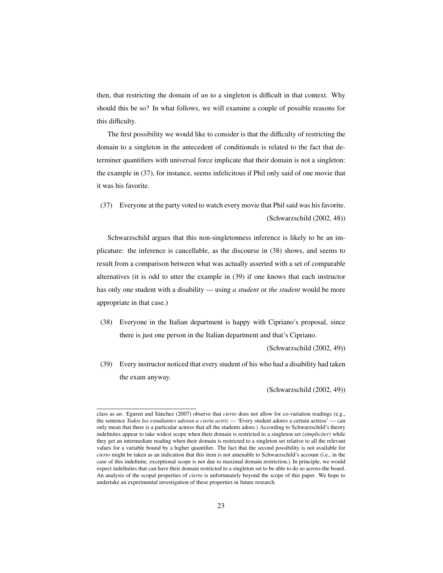then, that restricting the domain of *un* to a singleton is difficult in that context. Why should this be so? In what follows, we will examine a couple of possible reasons for this difficulty.

The first possibility we would like to consider is that the difficulty of restricting the domain to a singleton in the antecedent of conditionals is related to the fact that determiner quantifiers with universal force implicate that their domain is not a singleton: the example in (37), for instance, seems infelicitous if Phil only said of one movie that it was his favorite.

(37) Everyone at the party voted to watch every movie that Phil said was his favorite. (Schwarzschild (2002, 48))

Schwarzschild argues that this non-singletonness inference is likely to be an implicature: the inference is cancellable, as the discourse in (38) shows, and seems to result from a comparison between what was actually asserted with a set of comparable alternatives (it is odd to utter the example in (39) if one knows that each instructor has only one student with a disability — using *a student* or *the student* would be more appropriate in that case.)

(38) Everyone in the Italian department is happy with Cipriano's proposal, since there is just one person in the Italian department and that's Cipriano.

(Schwarzschild (2002, 49))

(39) Every instructor noticed that every student of his who had a disability had taken the exam anyway.

(Schwarzschild (2002, 49))

class as *un*. Eguren and Sánchez (2007) observe that *cierto* does not allow for co-variation readings (e.g., the sentence *Todos los estudiantes adoran a cierta actriz* — 'Every student adores a certain actress' — can only mean that there is a particular actress that all the students adore.) According to Schwarzschild's theory indefinites appear to take widest scope when their domain is restricted to a singleton set (*simpliciter*) while they get an intermediate reading when their domain is restricted to a singleton set relative to all the relevant values for a variable bound by a higher quantifier. The fact that the second possibility is not available for *cierto* might be taken as an indication that this item is not amenable to Schwarzschild's account (i.e., in the case of this indefinite, exceptional scope is not due to maximal domain restriction.) In principle, we would expect indefinites that can have their domain restricted to a singleton set to be able to do so across-the board. An analysis of the scopal properties of *cierto* is unfortunately beyond the scope of this paper. We hope to undertake an experimental investigation of these properties in future research.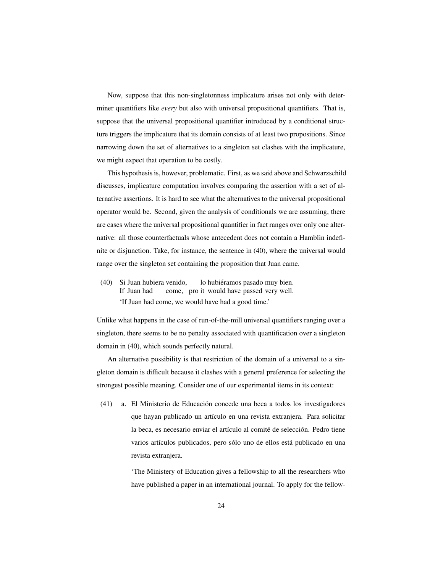Now, suppose that this non-singletonness implicature arises not only with determiner quantifiers like *every* but also with universal propositional quantifiers. That is, suppose that the universal propositional quantifier introduced by a conditional structure triggers the implicature that its domain consists of at least two propositions. Since narrowing down the set of alternatives to a singleton set clashes with the implicature, we might expect that operation to be costly.

This hypothesis is, however, problematic. First, as we said above and Schwarzschild discusses, implicature computation involves comparing the assertion with a set of alternative assertions. It is hard to see what the alternatives to the universal propositional operator would be. Second, given the analysis of conditionals we are assuming, there are cases where the universal propositional quantifier in fact ranges over only one alternative: all those counterfactuals whose antecedent does not contain a Hamblin indefinite or disjunction. Take, for instance, the sentence in (40), where the universal would range over the singleton set containing the proposition that Juan came.

(40) Si Juan hubiera venido, If Juan had come, pro it would have passed very well. lo hubiéramos pasado muy bien. 'If Juan had come, we would have had a good time.'

Unlike what happens in the case of run-of-the-mill universal quantifiers ranging over a singleton, there seems to be no penalty associated with quantification over a singleton domain in (40), which sounds perfectly natural.

An alternative possibility is that restriction of the domain of a universal to a singleton domain is difficult because it clashes with a general preference for selecting the strongest possible meaning. Consider one of our experimental items in its context:

(41) a. El Ministerio de Educacion concede una beca a todos los investigadores ´ que hayan publicado un artículo en una revista extranjera. Para solicitar la beca, es necesario enviar el artículo al comité de selección. Pedro tiene varios artículos publicados, pero sólo uno de ellos está publicado en una revista extranjera.

> 'The Ministery of Education gives a fellowship to all the researchers who have published a paper in an international journal. To apply for the fellow-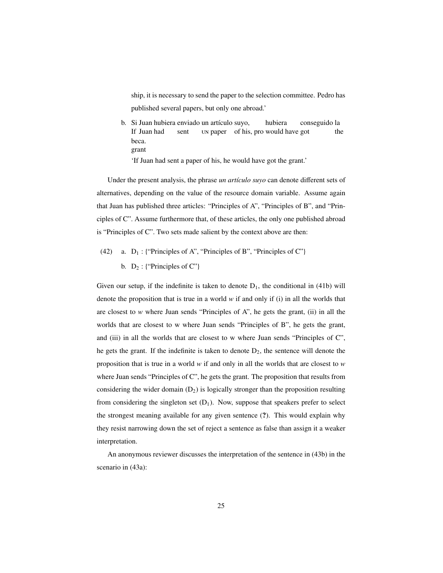ship, it is necessary to send the paper to the selection committee. Pedro has published several papers, but only one abroad.'

b. Si Juan hubiera enviado un artículo suyo, If Juan had sent UN paper of his, pro would have got hubiera conseguido la the beca. grant

'If Juan had sent a paper of his, he would have got the grant.'

Under the present analysis, the phrase *un artículo suyo* can denote different sets of alternatives, depending on the value of the resource domain variable. Assume again that Juan has published three articles: "Principles of A", "Principles of B", and "Principles of C". Assume furthermore that, of these articles, the only one published abroad is "Principles of C". Two sets made salient by the context above are then:

(42) a.  $D_1$ : {"Principles of A", "Principles of B", "Principles of C"} b.  $D_2$ : {"Principles of C"}

Given our setup, if the indefinite is taken to denote  $D_1$ , the conditional in (41b) will denote the proposition that is true in a world  $w$  if and only if (i) in all the worlds that are closest to *w* where Juan sends "Principles of A", he gets the grant, (ii) in all the worlds that are closest to w where Juan sends "Principles of B", he gets the grant, and (iii) in all the worlds that are closest to w where Juan sends "Principles of C", he gets the grant. If the indefinite is taken to denote  $D_2$ , the sentence will denote the proposition that is true in a world *w* if and only in all the worlds that are closest to *w* where Juan sends "Principles of C", he gets the grant. The proposition that results from considering the wider domain  $(D_2)$  is logically stronger than the proposition resulting from considering the singleton set  $(D_1)$ . Now, suppose that speakers prefer to select the strongest meaning available for any given sentence (?). This would explain why they resist narrowing down the set of reject a sentence as false than assign it a weaker interpretation.

An anonymous reviewer discusses the interpretation of the sentence in (43b) in the scenario in (43a):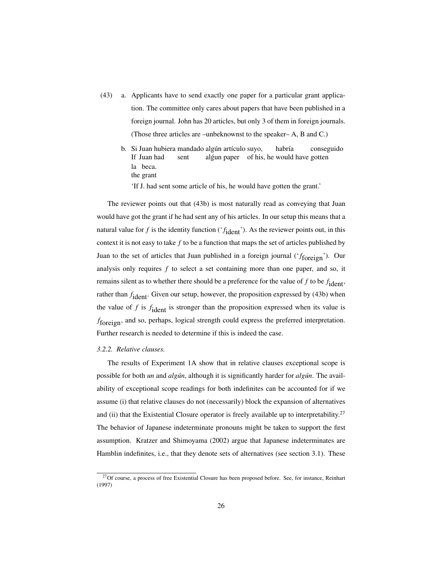- (43) a. Applicants have to send exactly one paper for a particular grant application. The committee only cares about papers that have been published in a foreign journal. John has 20 articles, but only 3 of them in foreign journals. (Those three articles are –unbeknownst to the speaker– A, B and C.)
	- b. Si Juan hubiera mandado algún artículo suyo, If Juan had sent algun paper of his, he would have gotten habría conseguido la beca. the grant

'If J. had sent some article of his, he would have gotten the grant.'

The reviewer points out that (43b) is most naturally read as conveying that Juan would have got the grant if he had sent any of his articles. In our setup this means that a natural value for  $f$  is the identity function ( $'f_{\text{ident}}$ ). As the reviewer points out, in this context it is not easy to take *f* to be a function that maps the set of articles published by Juan to the set of articles that Juan published in a foreign journal ('*f* foreign'). Our analysis only requires *f* to select a set containing more than one paper, and so, it remains silent as to whether there should be a preference for the value of  $f$  to be  $f_{\text{ident}}$ , rather than  $f_{\text{ident}}$ . Given our setup, however, the proposition expressed by (43b) when the value of  $f$  is  $f_{\text{ident}}$  is stronger than the proposition expressed when its value is *f* foreign, and so, perhaps, logical strength could express the preferred interpretation. Further research is needed to determine if this is indeed the case.

#### *3.2.2. Relative clauses.*

The results of Experiment 1A show that in relative clauses exceptional scope is possible for both *un* and *alg´un*, although it is significantly harder for *alg´un*. The availability of exceptional scope readings for both indefinites can be accounted for if we assume (i) that relative clauses do not (necessarily) block the expansion of alternatives and (ii) that the Existential Closure operator is freely available up to interpretability.<sup>27</sup> The behavior of Japanese indeterminate pronouns might be taken to support the first assumption. Kratzer and Shimoyama (2002) argue that Japanese indeterminates are Hamblin indefinites, i.e., that they denote sets of alternatives (see section 3.1). These

 $^{27}$ Of course, a process of free Existential Closure has been proposed before. See, for instance, Reinhart (1997)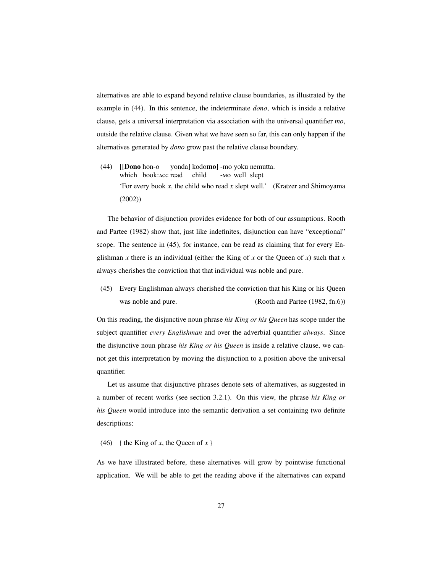alternatives are able to expand beyond relative clause boundaries, as illustrated by the example in (44). In this sentence, the indeterminate *dono*, which is inside a relative clause, gets a universal interpretation via association with the universal quantifier *mo*, outside the relative clause. Given what we have seen so far, this can only happen if the alternatives generated by *dono* grow past the relative clause boundary.

(44) [[Dono hon-o which book: ACC read yonda] kodo**mo**] -mo yoku nemutta. child - well slept 'For every book *x*, the child who read *x* slept well.' (Kratzer and Shimoyama (2002))

The behavior of disjunction provides evidence for both of our assumptions. Rooth and Partee (1982) show that, just like indefinites, disjunction can have "exceptional" scope. The sentence in (45), for instance, can be read as claiming that for every Englishman *x* there is an individual (either the King of *x* or the Queen of *x*) such that *x* always cherishes the conviction that that individual was noble and pure.

(45) Every Englishman always cherished the conviction that his King or his Queen was noble and pure. (Rooth and Partee (1982, fn.6))

On this reading, the disjunctive noun phrase *his King or his Queen* has scope under the subject quantifier *every Englishman* and over the adverbial quantifier *always*. Since the disjunctive noun phrase *his King or his Queen* is inside a relative clause, we cannot get this interpretation by moving the disjunction to a position above the universal quantifier.

Let us assume that disjunctive phrases denote sets of alternatives, as suggested in a number of recent works (see section 3.2.1). On this view, the phrase *his King or his Queen* would introduce into the semantic derivation a set containing two definite descriptions:

(46) { the King of *x*, the Queen of *x* }

As we have illustrated before, these alternatives will grow by pointwise functional application. We will be able to get the reading above if the alternatives can expand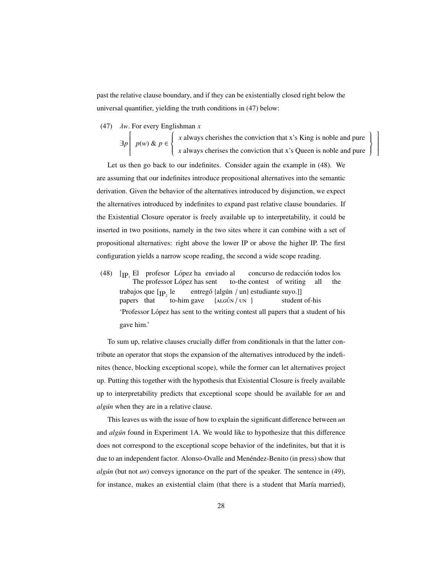past the relative clause boundary, and if they can be existentially closed right below the universal quantifier, yielding the truth conditions in (47) below:

(47) λ*w*. For every Englishman *<sup>x</sup>*

∃*p* ſ  $\overline{\mathsf{l}}$ *p*(*w*) & *p* ∈  $\begin{cases} \frac{1}{2} & \text{if } 0 \leq x \leq 1 \\ \frac{1}{2} & \text{if } 0 \leq x \leq 1 \end{cases}$  $\overline{\mathcal{L}}$ *x* always cherishes the conviction that x's King is noble and pure *x* always cherises the conviction that x's Queen is noble and pure

 $\Bigg\}$  $\int$  1  $\overline{\phantom{a}}$ 

Let us then go back to our indefinites. Consider again the example in (48). We are assuming that our indefinites introduce propositional alternatives into the semantic derivation. Given the behavior of the alternatives introduced by disjunction, we expect the alternatives introduced by indefinites to expand past relative clause boundaries. If the Existential Closure operator is freely available up to interpretability, it could be inserted in two positions, namely in the two sites where it can combine with a set of propositional alternatives: right above the lower IP or above the higher IP. The first configuration yields a narrow scope reading, the second a wide scope reading.

(48)  $[p_1]$  El profesor López ha enviado al The professor López has sent to-the contest of writing all concurso de redacción todos los the trabajos que  $[p_2]$  le entregó {algún / un} estudiante suyo.]] papers that to-him gave  $\{ALGUN / UN \}$ student of-his 'Professor López has sent to the writing contest all papers that a student of his gave him.'

To sum up, relative clauses crucially differ from conditionals in that the latter contribute an operator that stops the expansion of the alternatives introduced by the indefinites (hence, blocking exceptional scope), while the former can let alternatives project up. Putting this together with the hypothesis that Existential Closure is freely available up to interpretability predicts that exceptional scope should be available for *un* and *algún* when they are in a relative clause.

This leaves us with the issue of how to explain the significant difference between *un* and *alg´un* found in Experiment 1A. We would like to hypothesize that this difference does not correspond to the exceptional scope behavior of the indefinites, but that it is due to an independent factor. Alonso-Ovalle and Menéndez-Benito (in press) show that *alg´un* (but not *un*) conveys ignorance on the part of the speaker. The sentence in (49), for instance, makes an existential claim (that there is a student that María married),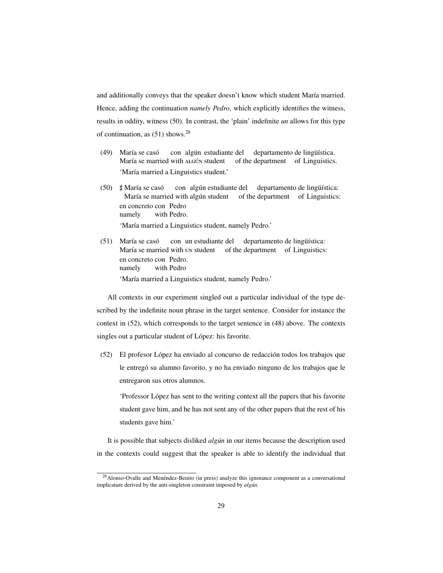and additionally conveys that the speaker doesn't know which student María married. Hence, adding the continuation *namely Pedro*, which explicitly identifies the witness, results in oddity, witness (50). In contrast, the 'plain' indefinite *un* allows for this type of continuation, as  $(51)$  shows.<sup>28</sup>

- (49) María se casó María se married with ALGÚN student con algún estudiante del of the department of Linguistics. departamento de lingüística. 'María married a Linguistics student.'
- (50)  $\sharp$  María se casó<br>María se mart María se married with algún student of the department of Linguistics: con algún estudiante del departamento de lingüística: en concreto con Pedro namely with Pedro. 'María married a Linguistics student, namely Pedro.'
- (51) María se casó María se married with un student of the department of Linguistics: con un estudiante del departamento de lingüística: en concreto con Pedro. namely with Pedro 'María married a Linguistics student, namely Pedro.'

All contexts in our experiment singled out a particular individual of the type described by the indefinite noun phrase in the target sentence. Consider for instance the context in (52), which corresponds to the target sentence in (48) above. The contexts singles out a particular student of López: his favorite.

(52) El profesor López ha enviado al concurso de redacción todos los trabajos que le entregó su alumno favorito, y no ha enviado ninguno de los trabajos que le entregaron sus otros alumnos.

'Professor López has sent to the writing context all the papers that his favorite student gave him, and he has not sent any of the other papers that the rest of his students gave him.'

It is possible that subjects disliked *alg´un* in our items because the description used in the contexts could suggest that the speaker is able to identify the individual that

 $^{28}$ Alonso-Ovalle and Menéndez-Benito (in press) analyze this ignorance component as a conversational implicature derived by the anti-singleton constraint imposed by algún.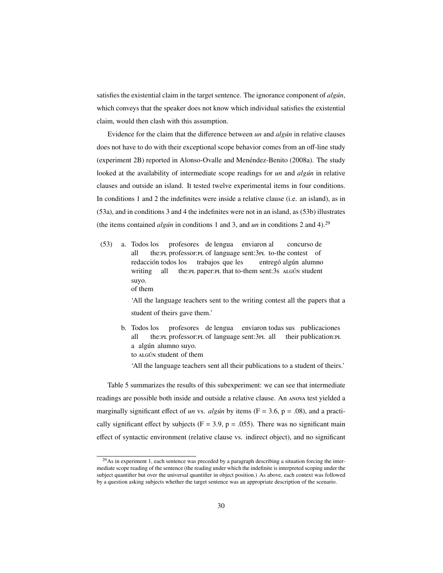satisfies the existential claim in the target sentence. The ignorance component of *algún*, which conveys that the speaker does not know which individual satisfies the existential claim, would then clash with this assumption.

Evidence for the claim that the difference between *un* and *algún* in relative clauses does not have to do with their exceptional scope behavior comes from an off-line study (experiment 2B) reported in Alonso-Ovalle and Menéndez-Benito (2008a). The study looked at the availability of intermediate scope readings for *un* and *algún* in relative clauses and outside an island. It tested twelve experimental items in four conditions. In conditions 1 and 2 the indefinites were inside a relative clause (i.e. an island), as in (53a), and in conditions 3 and 4 the indefinites were not in an island, as (53b) illustrates (the items contained *algún* in conditions 1 and 3, and *un* in conditions 2 and 4).<sup>29</sup>

(53) a. Todos los all the:PL professor:PL of language sent:3PL to-the contest of profesores de lengua enviaron al concurso de redacción todos los writing all the: PL paper: PL that to-them sent: 3s ALGÚN student trabajos que les entregó algún alumno suyo. of them

> 'All the language teachers sent to the writing contest all the papers that a student of theirs gave them.'

b. Todos los all the: Professor: PL of language sent: 3 PL all their publication: PL profesores de lengua enviaron todas sus publicaciones a algún alumno suyo. to ALGÚN student of them

'All the language teachers sent all their publications to a student of theirs.'

Table 5 summarizes the results of this subexperiment: we can see that intermediate readings are possible both inside and outside a relative clause. An ANOVA test yielded a marginally significant effect of *un* vs. *algún* by items ( $F = 3.6$ ,  $p = .08$ ), and a practically significant effect by subjects ( $F = 3.9$ ,  $p = .055$ ). There was no significant main effect of syntactic environment (relative clause vs. indirect object), and no significant

<sup>&</sup>lt;sup>29</sup>As in experiment 1, each sentence was preceded by a paragraph describing a situation forcing the intermediate scope reading of the sentence (the reading under which the indefinite is interpreted scoping under the subject quantifier but over the universal quantifier in object position.) As above, each context was followed by a question asking subjects whether the target sentence was an appropriate description of the scenario.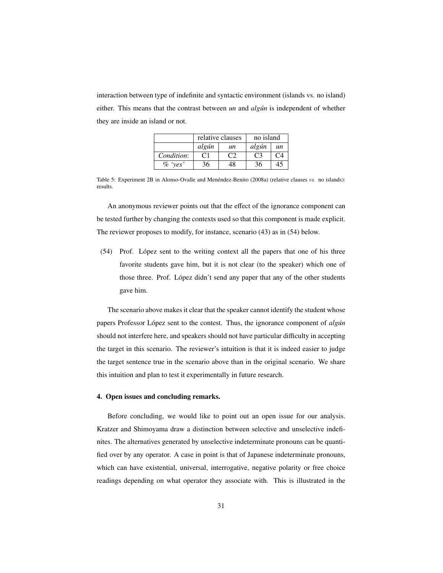interaction between type of indefinite and syntactic environment (islands vs. no island) either. This means that the contrast between *un* and *algún* is independent of whether they are inside an island or not.

|            | relative clauses |               | no island |            |
|------------|------------------|---------------|-----------|------------|
|            | algún            | un            | algún     | un         |
| Condition: | C1               | $\mathcal{C}$ | - C3 -    | $\sqrt{2}$ |
| $\%$ 'ves' | 36               | 48            | 36        | 45         |

Table 5: Experiment 2B in Alonso-Ovalle and Menéndez-Benito (2008a) (relative clauses vs. no islands): results.

An anonymous reviewer points out that the effect of the ignorance component can be tested further by changing the contexts used so that this component is made explicit. The reviewer proposes to modify, for instance, scenario (43) as in (54) below.

(54) Prof. Lopez sent to the writing context all the papers that one of his three ´ favorite students gave him, but it is not clear (to the speaker) which one of those three. Prof. López didn't send any paper that any of the other students gave him.

The scenario above makes it clear that the speaker cannot identify the student whose papers Professor López sent to the contest. Thus, the ignorance component of *algún* should not interfere here, and speakers should not have particular difficulty in accepting the target in this scenario. The reviewer's intuition is that it is indeed easier to judge the target sentence true in the scenario above than in the original scenario. We share this intuition and plan to test it experimentally in future research.

#### 4. Open issues and concluding remarks.

Before concluding, we would like to point out an open issue for our analysis. Kratzer and Shimoyama draw a distinction between selective and unselective indefinites. The alternatives generated by unselective indeterminate pronouns can be quantified over by any operator. A case in point is that of Japanese indeterminate pronouns, which can have existential, universal, interrogative, negative polarity or free choice readings depending on what operator they associate with. This is illustrated in the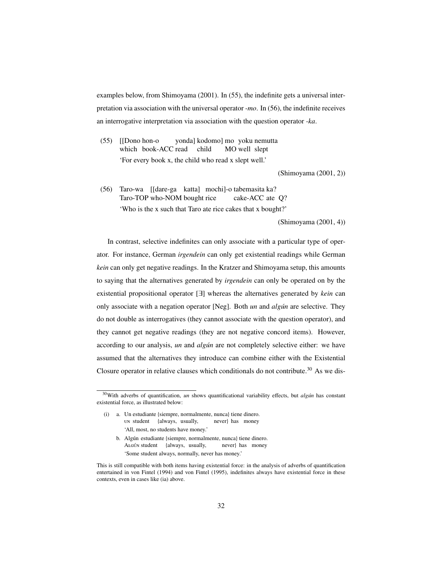examples below, from Shimoyama (2001). In (55), the indefinite gets a universal interpretation via association with the universal operator *-mo*. In (56), the indefinite receives an interrogative interpretation via association with the question operator *-ka*.

(55) [[Dono hon-o which book-ACC read child yonda] kodomo] mo yoku nemutta MO well slept 'For every book x, the child who read x slept well.'

(Shimoyama (2001, 2))

(56) Taro-wa [[dare-ga katta] mochi]-o tabemasita ka? Taro-TOP who-NOM bought rice cake-ACC ate Q? 'Who is the x such that Taro ate rice cakes that x bought?'

(Shimoyama (2001, 4))

In contrast, selective indefinites can only associate with a particular type of operator. For instance, German *irgendein* can only get existential readings while German *kein* can only get negative readings. In the Kratzer and Shimoyama setup, this amounts to saying that the alternatives generated by *irgendein* can only be operated on by the existential propositional operator [∃] whereas the alternatives generated by *kein* can only associate with a negation operator [Neg]. Both *un* and *algún* are selective. They do not double as interrogatives (they cannot associate with the question operator), and they cannot get negative readings (they are not negative concord items). However, according to our analysis, *un* and *algún* are not completely selective either: we have assumed that the alternatives they introduce can combine either with the Existential Closure operator in relative clauses which conditionals do not contribute.<sup>30</sup> As we dis-

- (i) a. Un estudiante {siempre, normalmente, nunca} tiene dinero. student {always, usually, never} has money 'All, most, no students have money.'
	- b. Algún estudiante {siempre, normalmente, nunca} tiene dinero. ALGÚN student {always, usually, never} has money 'Some student always, normally, never has money.'

<sup>&</sup>lt;sup>30</sup>With adverbs of quantification, *un* shows quantificational variability effects, but *algun* has constant existential force, as illustrated below:

This is still compatible with both items having existential force: in the analysis of adverbs of quantification entertained in von Fintel (1994) and von Fintel (1995), indefinites always have existential force in these contexts, even in cases like (ia) above.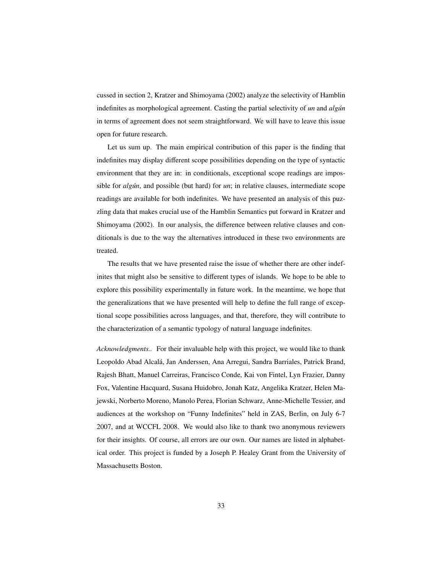cussed in section 2, Kratzer and Shimoyama (2002) analyze the selectivity of Hamblin indefinites as morphological agreement. Casting the partial selectivity of *un* and *algún* in terms of agreement does not seem straightforward. We will have to leave this issue open for future research.

Let us sum up. The main empirical contribution of this paper is the finding that indefinites may display different scope possibilities depending on the type of syntactic environment that they are in: in conditionals, exceptional scope readings are impossible for *algún*, and possible (but hard) for *un*; in relative clauses, intermediate scope readings are available for both indefinites. We have presented an analysis of this puzzling data that makes crucial use of the Hamblin Semantics put forward in Kratzer and Shimoyama (2002). In our analysis, the difference between relative clauses and conditionals is due to the way the alternatives introduced in these two environments are treated.

The results that we have presented raise the issue of whether there are other indefinites that might also be sensitive to different types of islands. We hope to be able to explore this possibility experimentally in future work. In the meantime, we hope that the generalizations that we have presented will help to define the full range of exceptional scope possibilities across languages, and that, therefore, they will contribute to the characterization of a semantic typology of natural language indefinites.

*Acknowledgments..* For their invaluable help with this project, we would like to thank Leopoldo Abad Alcala, Jan Anderssen, Ana Arregui, Sandra Barriales, Patrick Brand, ´ Rajesh Bhatt, Manuel Carreiras, Francisco Conde, Kai von Fintel, Lyn Frazier, Danny Fox, Valentine Hacquard, Susana Huidobro, Jonah Katz, Angelika Kratzer, Helen Majewski, Norberto Moreno, Manolo Perea, Florian Schwarz, Anne-Michelle Tessier, and audiences at the workshop on "Funny Indefinites" held in ZAS, Berlin, on July 6-7 2007, and at WCCFL 2008. We would also like to thank two anonymous reviewers for their insights. Of course, all errors are our own. Our names are listed in alphabetical order. This project is funded by a Joseph P. Healey Grant from the University of Massachusetts Boston.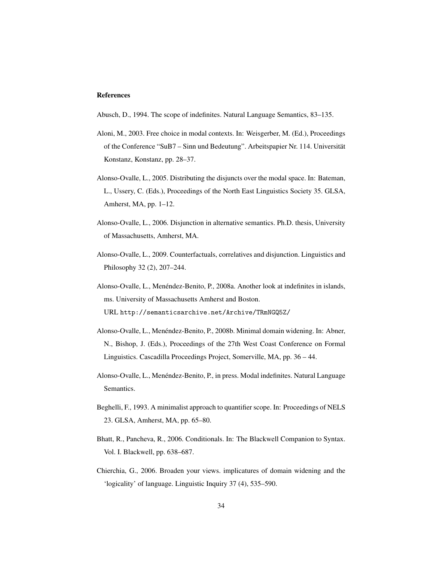#### References

- Abusch, D., 1994. The scope of indefinites. Natural Language Semantics, 83–135.
- Aloni, M., 2003. Free choice in modal contexts. In: Weisgerber, M. (Ed.), Proceedings of the Conference "SuB7 – Sinn und Bedeutung". Arbeitspapier Nr. 114. Universitat¨ Konstanz, Konstanz, pp. 28-37.
- Alonso-Ovalle, L., 2005. Distributing the disjuncts over the modal space. In: Bateman, L., Ussery, C. (Eds.), Proceedings of the North East Linguistics Society 35. GLSA, Amherst, MA, pp. 1–12.
- Alonso-Ovalle, L., 2006. Disjunction in alternative semantics. Ph.D. thesis, University of Massachusetts, Amherst, MA.
- Alonso-Ovalle, L., 2009. Counterfactuals, correlatives and disjunction. Linguistics and Philosophy 32 (2), 207–244.
- Alonso-Ovalle, L., Menéndez-Benito, P., 2008a. Another look at indefinites in islands, ms. University of Massachusetts Amherst and Boston. URL http://semanticsarchive.net/Archive/TRmNGQ5Z/
- Alonso-Ovalle, L., Menéndez-Benito, P., 2008b. Minimal domain widening. In: Abner, N., Bishop, J. (Eds.), Proceedings of the 27th West Coast Conference on Formal Linguistics. Cascadilla Proceedings Project, Somerville, MA, pp. 36 – 44.
- Alonso-Ovalle, L., Menendez-Benito, P., in press. Modal indefinites. Natural Language ´ Semantics.
- Beghelli, F., 1993. A minimalist approach to quantifier scope. In: Proceedings of NELS 23. GLSA, Amherst, MA, pp. 65–80.
- Bhatt, R., Pancheva, R., 2006. Conditionals. In: The Blackwell Companion to Syntax. Vol. I. Blackwell, pp. 638–687.
- Chierchia, G., 2006. Broaden your views. implicatures of domain widening and the 'logicality' of language. Linguistic Inquiry 37 (4), 535–590.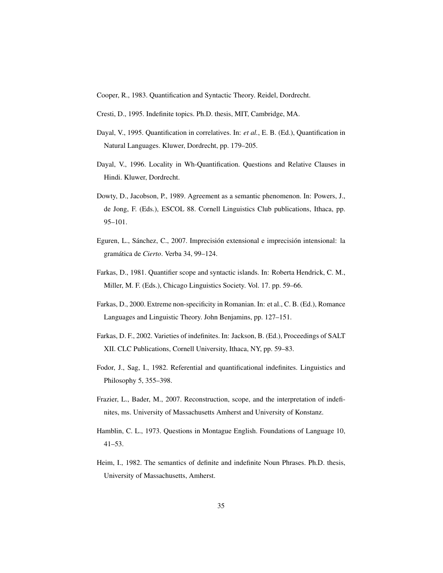- Cooper, R., 1983. Quantification and Syntactic Theory. Reidel, Dordrecht.
- Cresti, D., 1995. Indefinite topics. Ph.D. thesis, MIT, Cambridge, MA.
- Dayal, V., 1995. Quantification in correlatives. In: *et al.*, E. B. (Ed.), Quantification in Natural Languages. Kluwer, Dordrecht, pp. 179–205.
- Dayal, V., 1996. Locality in Wh-Quantification. Questions and Relative Clauses in Hindi. Kluwer, Dordrecht.
- Dowty, D., Jacobson, P., 1989. Agreement as a semantic phenomenon. In: Powers, J., de Jong, F. (Eds.), ESCOL 88. Cornell Linguistics Club publications, Ithaca, pp. 95–101.
- Eguren, L., Sánchez, C., 2007. Imprecisión extensional e imprecisión intensional: la gramática de Cierto. Verba 34, 99-124.
- Farkas, D., 1981. Quantifier scope and syntactic islands. In: Roberta Hendrick, C. M., Miller, M. F. (Eds.), Chicago Linguistics Society. Vol. 17. pp. 59–66.
- Farkas, D., 2000. Extreme non-specificity in Romanian. In: et al., C. B. (Ed.), Romance Languages and Linguistic Theory. John Benjamins, pp. 127–151.
- Farkas, D. F., 2002. Varieties of indefinites. In: Jackson, B. (Ed.), Proceedings of SALT XII. CLC Publications, Cornell University, Ithaca, NY, pp. 59–83.
- Fodor, J., Sag, I., 1982. Referential and quantificational indefinites. Linguistics and Philosophy 5, 355–398.
- Frazier, L., Bader, M., 2007. Reconstruction, scope, and the interpretation of indefinites, ms. University of Massachusetts Amherst and University of Konstanz.
- Hamblin, C. L., 1973. Questions in Montague English. Foundations of Language 10, 41–53.
- Heim, I., 1982. The semantics of definite and indefinite Noun Phrases. Ph.D. thesis, University of Massachusetts, Amherst.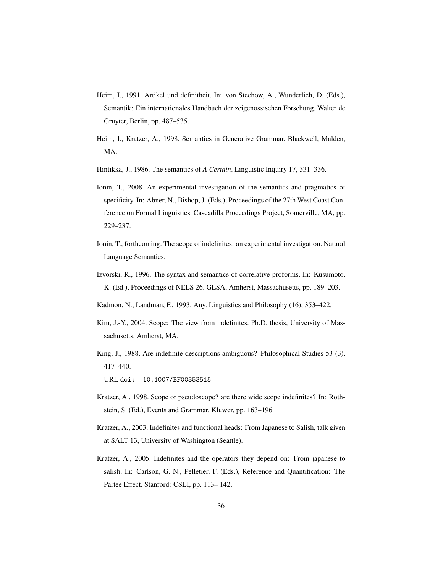- Heim, I., 1991. Artikel und definitheit. In: von Stechow, A., Wunderlich, D. (Eds.), Semantik: Ein internationales Handbuch der zeigenossischen Forschung. Walter de Gruyter, Berlin, pp. 487–535.
- Heim, I., Kratzer, A., 1998. Semantics in Generative Grammar. Blackwell, Malden, MA.
- Hintikka, J., 1986. The semantics of *A Certain*. Linguistic Inquiry 17, 331–336.
- Ionin, T., 2008. An experimental investigation of the semantics and pragmatics of specificity. In: Abner, N., Bishop, J. (Eds.), Proceedings of the 27th West Coast Conference on Formal Linguistics. Cascadilla Proceedings Project, Somerville, MA, pp. 229–237.
- Ionin, T., forthcoming. The scope of indefinites: an experimental investigation. Natural Language Semantics.
- Izvorski, R., 1996. The syntax and semantics of correlative proforms. In: Kusumoto, K. (Ed.), Proceedings of NELS 26. GLSA, Amherst, Massachusetts, pp. 189–203.
- Kadmon, N., Landman, F., 1993. Any. Linguistics and Philosophy (16), 353–422.
- Kim, J.-Y., 2004. Scope: The view from indefinites. Ph.D. thesis, University of Massachusetts, Amherst, MA.
- King, J., 1988. Are indefinite descriptions ambiguous? Philosophical Studies 53 (3), 417–440.

URL doi: 10.1007/BF00353515

- Kratzer, A., 1998. Scope or pseudoscope? are there wide scope indefinites? In: Rothstein, S. (Ed.), Events and Grammar. Kluwer, pp. 163–196.
- Kratzer, A., 2003. Indefinites and functional heads: From Japanese to Salish, talk given at SALT 13, University of Washington (Seattle).
- Kratzer, A., 2005. Indefinites and the operators they depend on: From japanese to salish. In: Carlson, G. N., Pelletier, F. (Eds.), Reference and Quantification: The Partee Effect. Stanford: CSLI, pp. 113– 142.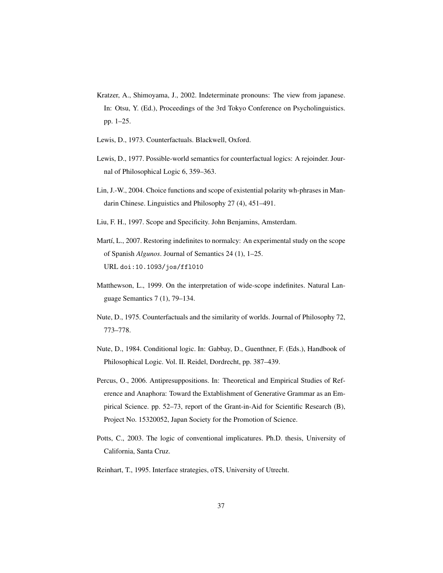- Kratzer, A., Shimoyama, J., 2002. Indeterminate pronouns: The view from japanese. In: Otsu, Y. (Ed.), Proceedings of the 3rd Tokyo Conference on Psycholinguistics. pp. 1–25.
- Lewis, D., 1973. Counterfactuals. Blackwell, Oxford.
- Lewis, D., 1977. Possible-world semantics for counterfactual logics: A rejoinder. Journal of Philosophical Logic 6, 359–363.
- Lin, J.-W., 2004. Choice functions and scope of existential polarity wh-phrases in Mandarin Chinese. Linguistics and Philosophy 27 (4), 451–491.
- Liu, F. H., 1997. Scope and Specificity. John Benjamins, Amsterdam.
- Martí, L., 2007. Restoring indefinites to normalcy: An experimental study on the scope of Spanish *Algunos*. Journal of Semantics 24 (1), 1–25. URL doi:10.1093/jos/ffl010
- Matthewson, L., 1999. On the interpretation of wide-scope indefinites. Natural Language Semantics 7 (1), 79–134.
- Nute, D., 1975. Counterfactuals and the similarity of worlds. Journal of Philosophy 72, 773–778.
- Nute, D., 1984. Conditional logic. In: Gabbay, D., Guenthner, F. (Eds.), Handbook of Philosophical Logic. Vol. II. Reidel, Dordrecht, pp. 387–439.
- Percus, O., 2006. Antipresuppositions. In: Theoretical and Empirical Studies of Reference and Anaphora: Toward the Extablishment of Generative Grammar as an Empirical Science. pp. 52–73, report of the Grant-in-Aid for Scientific Research (B), Project No. 15320052, Japan Society for the Promotion of Science.
- Potts, C., 2003. The logic of conventional implicatures. Ph.D. thesis, University of California, Santa Cruz.
- Reinhart, T., 1995. Interface strategies, oTS, University of Utrecht.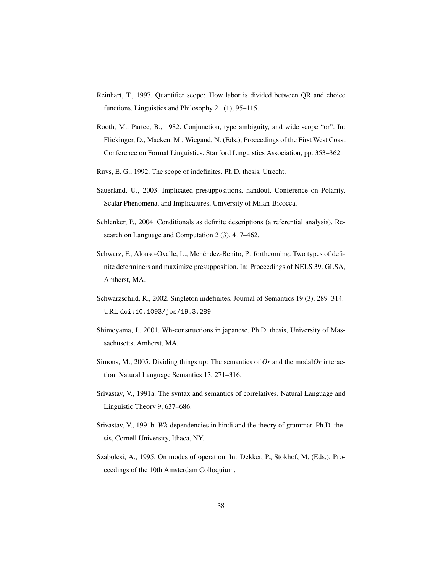- Reinhart, T., 1997. Quantifier scope: How labor is divided between QR and choice functions. Linguistics and Philosophy 21 (1), 95–115.
- Rooth, M., Partee, B., 1982. Conjunction, type ambiguity, and wide scope "or". In: Flickinger, D., Macken, M., Wiegand, N. (Eds.), Proceedings of the First West Coast Conference on Formal Linguistics. Stanford Linguistics Association, pp. 353–362.
- Ruys, E. G., 1992. The scope of indefinites. Ph.D. thesis, Utrecht.
- Sauerland, U., 2003. Implicated presuppositions, handout, Conference on Polarity, Scalar Phenomena, and Implicatures, University of Milan-Bicocca.
- Schlenker, P., 2004. Conditionals as definite descriptions (a referential analysis). Research on Language and Computation 2 (3), 417–462.
- Schwarz, F., Alonso-Ovalle, L., Menéndez-Benito, P., forthcoming. Two types of definite determiners and maximize presupposition. In: Proceedings of NELS 39. GLSA, Amherst, MA.
- Schwarzschild, R., 2002. Singleton indefinites. Journal of Semantics 19 (3), 289–314. URL doi:10.1093/jos/19.3.289
- Shimoyama, J., 2001. Wh-constructions in japanese. Ph.D. thesis, University of Massachusetts, Amherst, MA.
- Simons, M., 2005. Dividing things up: The semantics of *Or* and the modal*Or* interaction. Natural Language Semantics 13, 271–316.
- Srivastav, V., 1991a. The syntax and semantics of correlatives. Natural Language and Linguistic Theory 9, 637–686.
- Srivastav, V., 1991b. *Wh*-dependencies in hindi and the theory of grammar. Ph.D. thesis, Cornell University, Ithaca, NY.
- Szabolcsi, A., 1995. On modes of operation. In: Dekker, P., Stokhof, M. (Eds.), Proceedings of the 10th Amsterdam Colloquium.